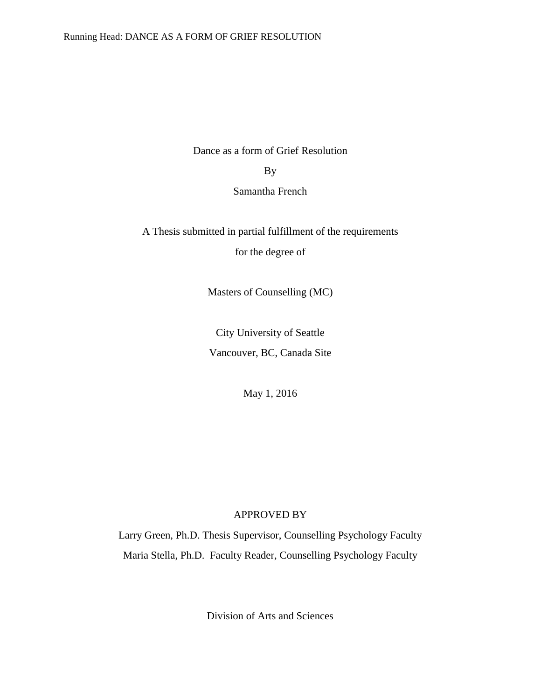Dance as a form of Grief Resolution

# By

Samantha French

A Thesis submitted in partial fulfillment of the requirements

for the degree of

Masters of Counselling (MC)

City University of Seattle Vancouver, BC, Canada Site

May 1, 2016

# APPROVED BY

Larry Green, Ph.D. Thesis Supervisor, Counselling Psychology Faculty Maria Stella, Ph.D. Faculty Reader, Counselling Psychology Faculty

Division of Arts and Sciences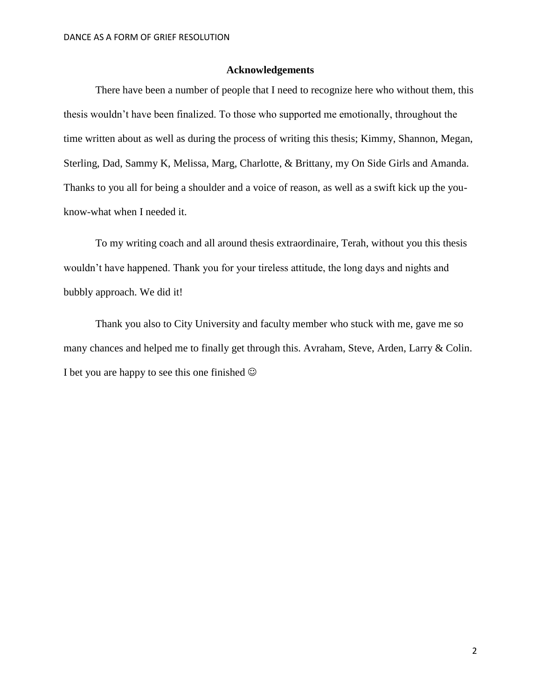# **Acknowledgements**

There have been a number of people that I need to recognize here who without them, this thesis wouldn't have been finalized. To those who supported me emotionally, throughout the time written about as well as during the process of writing this thesis; Kimmy, Shannon, Megan, Sterling, Dad, Sammy K, Melissa, Marg, Charlotte, & Brittany, my On Side Girls and Amanda. Thanks to you all for being a shoulder and a voice of reason, as well as a swift kick up the youknow-what when I needed it.

To my writing coach and all around thesis extraordinaire, Terah, without you this thesis wouldn't have happened. Thank you for your tireless attitude, the long days and nights and bubbly approach. We did it!

Thank you also to City University and faculty member who stuck with me, gave me so many chances and helped me to finally get through this. Avraham, Steve, Arden, Larry & Colin. I bet you are happy to see this one finished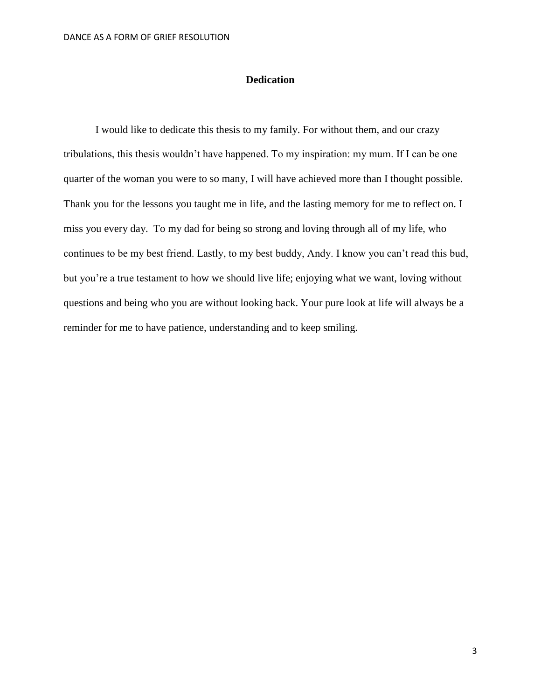# **Dedication**

I would like to dedicate this thesis to my family. For without them, and our crazy tribulations, this thesis wouldn't have happened. To my inspiration: my mum. If I can be one quarter of the woman you were to so many, I will have achieved more than I thought possible. Thank you for the lessons you taught me in life, and the lasting memory for me to reflect on. I miss you every day. To my dad for being so strong and loving through all of my life, who continues to be my best friend. Lastly, to my best buddy, Andy. I know you can't read this bud, but you're a true testament to how we should live life; enjoying what we want, loving without questions and being who you are without looking back. Your pure look at life will always be a reminder for me to have patience, understanding and to keep smiling.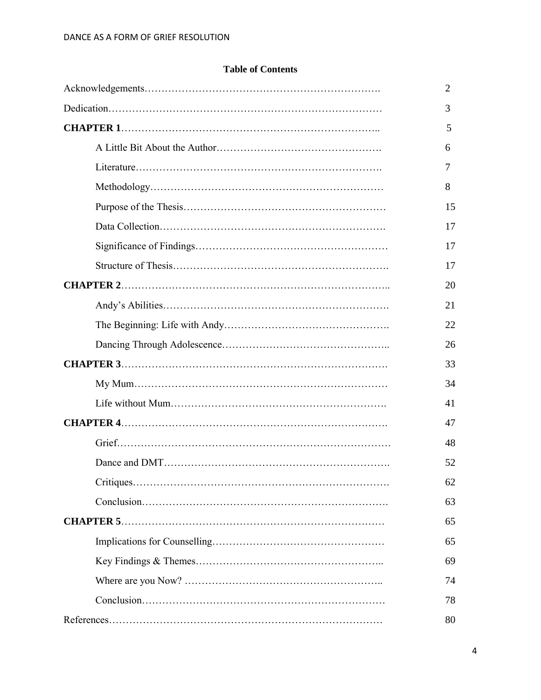# **Table of Contents**

| 2  |
|----|
| 3  |
| 5  |
| 6  |
| 7  |
| 8  |
| 15 |
| 17 |
| 17 |
| 17 |
| 20 |
| 21 |
| 22 |
| 26 |
| 33 |
| 34 |
| 41 |
| 47 |
| 48 |
| 52 |
| 62 |
| 63 |
| 65 |
| 65 |
| 69 |
| 74 |
| 78 |
| 80 |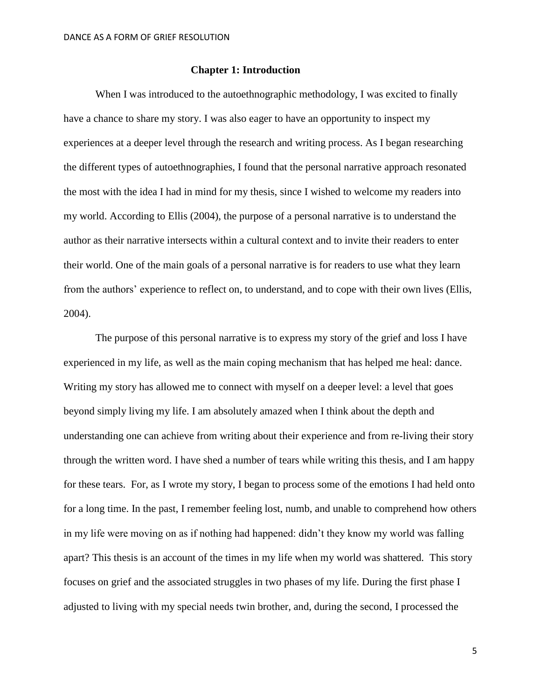# **Chapter 1: Introduction**

When I was introduced to the autoethnographic methodology, I was excited to finally have a chance to share my story. I was also eager to have an opportunity to inspect my experiences at a deeper level through the research and writing process. As I began researching the different types of autoethnographies, I found that the personal narrative approach resonated the most with the idea I had in mind for my thesis, since I wished to welcome my readers into my world. According to Ellis (2004), the purpose of a personal narrative is to understand the author as their narrative intersects within a cultural context and to invite their readers to enter their world. One of the main goals of a personal narrative is for readers to use what they learn from the authors' experience to reflect on, to understand, and to cope with their own lives (Ellis, 2004).

The purpose of this personal narrative is to express my story of the grief and loss I have experienced in my life, as well as the main coping mechanism that has helped me heal: dance. Writing my story has allowed me to connect with myself on a deeper level: a level that goes beyond simply living my life. I am absolutely amazed when I think about the depth and understanding one can achieve from writing about their experience and from re-living their story through the written word. I have shed a number of tears while writing this thesis, and I am happy for these tears. For, as I wrote my story, I began to process some of the emotions I had held onto for a long time. In the past, I remember feeling lost, numb, and unable to comprehend how others in my life were moving on as if nothing had happened: didn't they know my world was falling apart? This thesis is an account of the times in my life when my world was shattered. This story focuses on grief and the associated struggles in two phases of my life. During the first phase I adjusted to living with my special needs twin brother, and, during the second, I processed the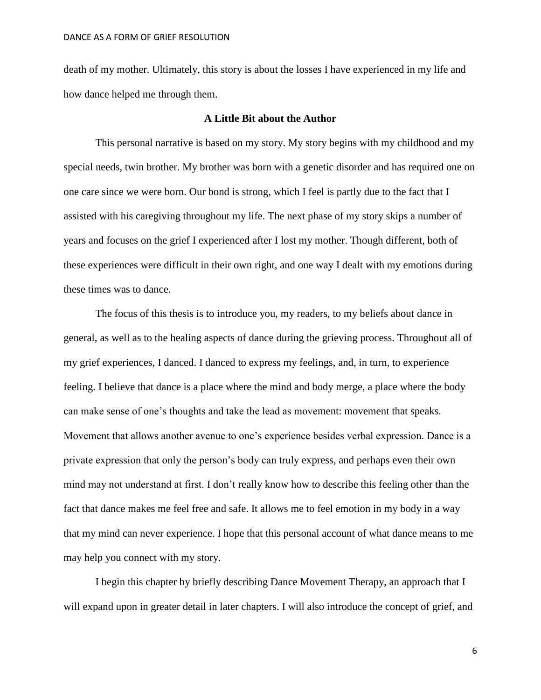death of my mother. Ultimately, this story is about the losses I have experienced in my life and how dance helped me through them.

# **A Little Bit about the Author**

This personal narrative is based on my story. My story begins with my childhood and my special needs, twin brother. My brother was born with a genetic disorder and has required one on one care since we were born. Our bond is strong, which I feel is partly due to the fact that I assisted with his caregiving throughout my life. The next phase of my story skips a number of years and focuses on the grief I experienced after I lost my mother. Though different, both of these experiences were difficult in their own right, and one way I dealt with my emotions during these times was to dance.

The focus of this thesis is to introduce you, my readers, to my beliefs about dance in general, as well as to the healing aspects of dance during the grieving process. Throughout all of my grief experiences, I danced. I danced to express my feelings, and, in turn, to experience feeling. I believe that dance is a place where the mind and body merge, a place where the body can make sense of one's thoughts and take the lead as movement: movement that speaks. Movement that allows another avenue to one's experience besides verbal expression. Dance is a private expression that only the person's body can truly express, and perhaps even their own mind may not understand at first. I don't really know how to describe this feeling other than the fact that dance makes me feel free and safe. It allows me to feel emotion in my body in a way that my mind can never experience. I hope that this personal account of what dance means to me may help you connect with my story.

I begin this chapter by briefly describing Dance Movement Therapy, an approach that I will expand upon in greater detail in later chapters. I will also introduce the concept of grief, and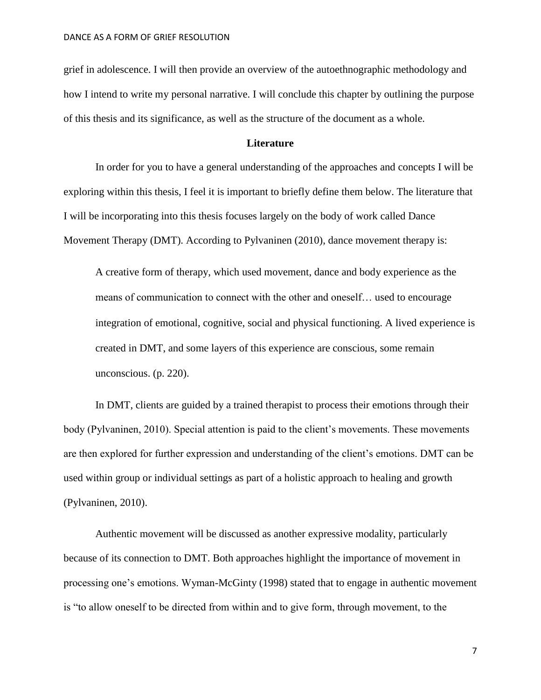grief in adolescence. I will then provide an overview of the autoethnographic methodology and how I intend to write my personal narrative. I will conclude this chapter by outlining the purpose of this thesis and its significance, as well as the structure of the document as a whole.

## **Literature**

In order for you to have a general understanding of the approaches and concepts I will be exploring within this thesis, I feel it is important to briefly define them below. The literature that I will be incorporating into this thesis focuses largely on the body of work called Dance Movement Therapy (DMT). According to Pylvaninen (2010), dance movement therapy is:

A creative form of therapy, which used movement, dance and body experience as the means of communication to connect with the other and oneself… used to encourage integration of emotional, cognitive, social and physical functioning. A lived experience is created in DMT, and some layers of this experience are conscious, some remain unconscious. (p. 220).

In DMT, clients are guided by a trained therapist to process their emotions through their body (Pylvaninen, 2010). Special attention is paid to the client's movements. These movements are then explored for further expression and understanding of the client's emotions. DMT can be used within group or individual settings as part of a holistic approach to healing and growth (Pylvaninen, 2010).

Authentic movement will be discussed as another expressive modality, particularly because of its connection to DMT. Both approaches highlight the importance of movement in processing one's emotions. Wyman-McGinty (1998) stated that to engage in authentic movement is "to allow oneself to be directed from within and to give form, through movement, to the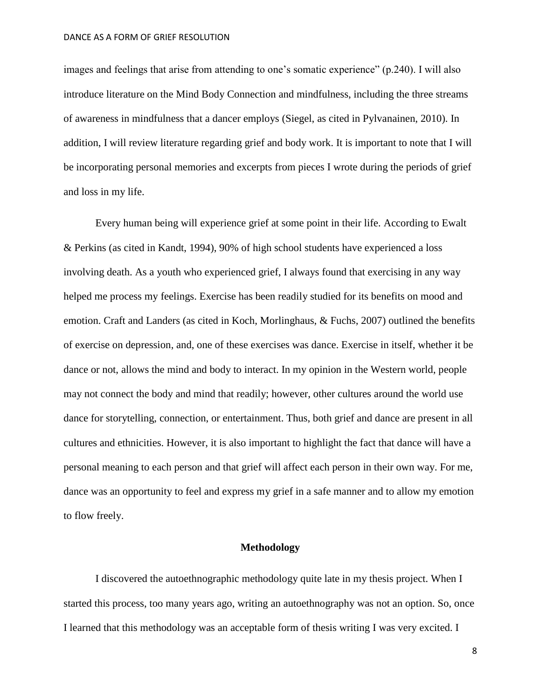images and feelings that arise from attending to one's somatic experience" (p.240). I will also introduce literature on the Mind Body Connection and mindfulness, including the three streams of awareness in mindfulness that a dancer employs (Siegel, as cited in Pylvanainen, 2010). In addition, I will review literature regarding grief and body work. It is important to note that I will be incorporating personal memories and excerpts from pieces I wrote during the periods of grief and loss in my life.

Every human being will experience grief at some point in their life. According to Ewalt & Perkins (as cited in Kandt, 1994), 90% of high school students have experienced a loss involving death. As a youth who experienced grief, I always found that exercising in any way helped me process my feelings. Exercise has been readily studied for its benefits on mood and emotion. Craft and Landers (as cited in Koch, Morlinghaus, & Fuchs, 2007) outlined the benefits of exercise on depression, and, one of these exercises was dance. Exercise in itself, whether it be dance or not, allows the mind and body to interact. In my opinion in the Western world, people may not connect the body and mind that readily; however, other cultures around the world use dance for storytelling, connection, or entertainment. Thus, both grief and dance are present in all cultures and ethnicities. However, it is also important to highlight the fact that dance will have a personal meaning to each person and that grief will affect each person in their own way. For me, dance was an opportunity to feel and express my grief in a safe manner and to allow my emotion to flow freely.

# **Methodology**

I discovered the autoethnographic methodology quite late in my thesis project. When I started this process, too many years ago, writing an autoethnography was not an option. So, once I learned that this methodology was an acceptable form of thesis writing I was very excited. I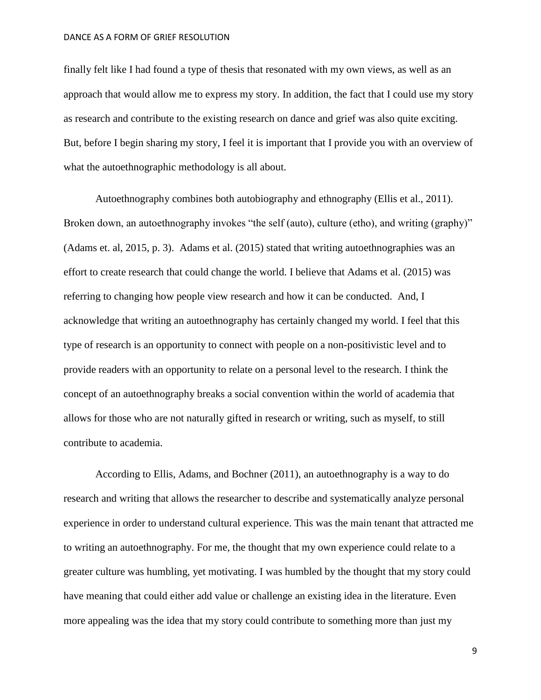finally felt like I had found a type of thesis that resonated with my own views, as well as an approach that would allow me to express my story. In addition, the fact that I could use my story as research and contribute to the existing research on dance and grief was also quite exciting. But, before I begin sharing my story, I feel it is important that I provide you with an overview of what the autoethnographic methodology is all about.

Autoethnography combines both autobiography and ethnography (Ellis et al., 2011). Broken down, an autoethnography invokes "the self (auto), culture (etho), and writing (graphy)" (Adams et. al, 2015, p. 3). Adams et al. (2015) stated that writing autoethnographies was an effort to create research that could change the world. I believe that Adams et al. (2015) was referring to changing how people view research and how it can be conducted. And, I acknowledge that writing an autoethnography has certainly changed my world. I feel that this type of research is an opportunity to connect with people on a non-positivistic level and to provide readers with an opportunity to relate on a personal level to the research. I think the concept of an autoethnography breaks a social convention within the world of academia that allows for those who are not naturally gifted in research or writing, such as myself, to still contribute to academia.

According to Ellis, Adams, and Bochner (2011), an autoethnography is a way to do research and writing that allows the researcher to describe and systematically analyze personal experience in order to understand cultural experience. This was the main tenant that attracted me to writing an autoethnography. For me, the thought that my own experience could relate to a greater culture was humbling, yet motivating. I was humbled by the thought that my story could have meaning that could either add value or challenge an existing idea in the literature. Even more appealing was the idea that my story could contribute to something more than just my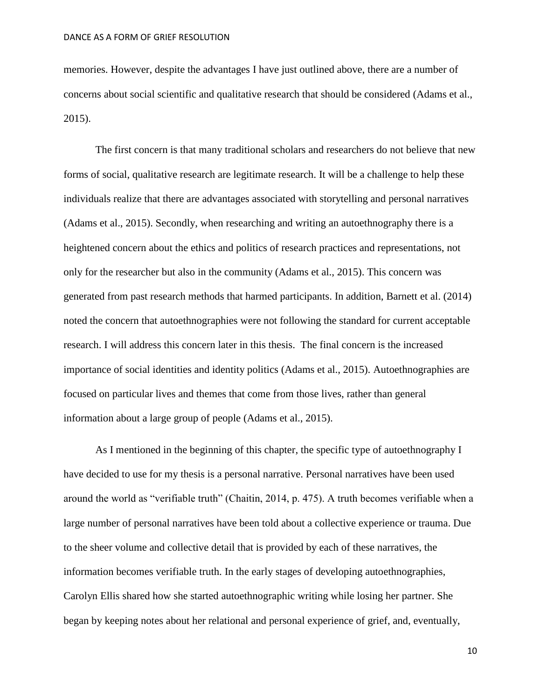memories. However, despite the advantages I have just outlined above, there are a number of concerns about social scientific and qualitative research that should be considered (Adams et al., 2015).

The first concern is that many traditional scholars and researchers do not believe that new forms of social, qualitative research are legitimate research. It will be a challenge to help these individuals realize that there are advantages associated with storytelling and personal narratives (Adams et al., 2015). Secondly, when researching and writing an autoethnography there is a heightened concern about the ethics and politics of research practices and representations, not only for the researcher but also in the community (Adams et al., 2015). This concern was generated from past research methods that harmed participants. In addition, Barnett et al. (2014) noted the concern that autoethnographies were not following the standard for current acceptable research. I will address this concern later in this thesis. The final concern is the increased importance of social identities and identity politics (Adams et al., 2015). Autoethnographies are focused on particular lives and themes that come from those lives, rather than general information about a large group of people (Adams et al., 2015).

As I mentioned in the beginning of this chapter, the specific type of autoethnography I have decided to use for my thesis is a personal narrative. Personal narratives have been used around the world as "verifiable truth" (Chaitin, 2014, p. 475). A truth becomes verifiable when a large number of personal narratives have been told about a collective experience or trauma. Due to the sheer volume and collective detail that is provided by each of these narratives, the information becomes verifiable truth. In the early stages of developing autoethnographies, Carolyn Ellis shared how she started autoethnographic writing while losing her partner. She began by keeping notes about her relational and personal experience of grief, and, eventually,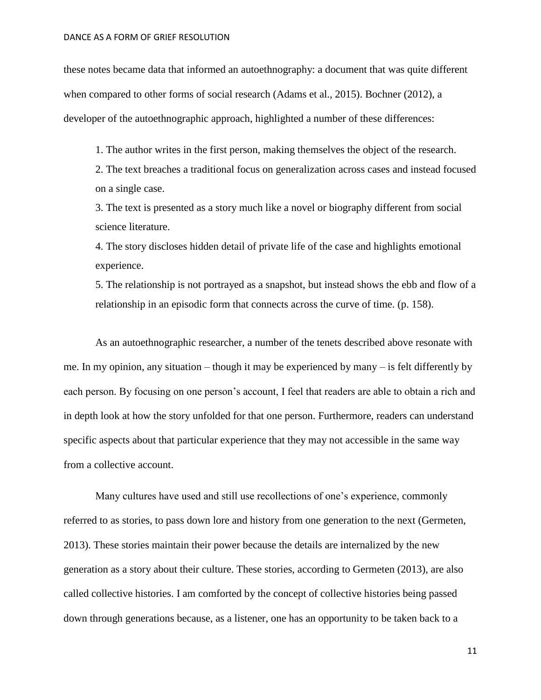these notes became data that informed an autoethnography: a document that was quite different when compared to other forms of social research (Adams et al., 2015). Bochner (2012), a developer of the autoethnographic approach, highlighted a number of these differences:

1. The author writes in the first person, making themselves the object of the research.

2. The text breaches a traditional focus on generalization across cases and instead focused on a single case.

3. The text is presented as a story much like a novel or biography different from social science literature.

4. The story discloses hidden detail of private life of the case and highlights emotional experience.

5. The relationship is not portrayed as a snapshot, but instead shows the ebb and flow of a relationship in an episodic form that connects across the curve of time. (p. 158).

As an autoethnographic researcher, a number of the tenets described above resonate with me. In my opinion, any situation – though it may be experienced by many – is felt differently by each person. By focusing on one person's account, I feel that readers are able to obtain a rich and in depth look at how the story unfolded for that one person. Furthermore, readers can understand specific aspects about that particular experience that they may not accessible in the same way from a collective account.

Many cultures have used and still use recollections of one's experience, commonly referred to as stories, to pass down lore and history from one generation to the next (Germeten, 2013). These stories maintain their power because the details are internalized by the new generation as a story about their culture. These stories, according to Germeten (2013), are also called collective histories. I am comforted by the concept of collective histories being passed down through generations because, as a listener, one has an opportunity to be taken back to a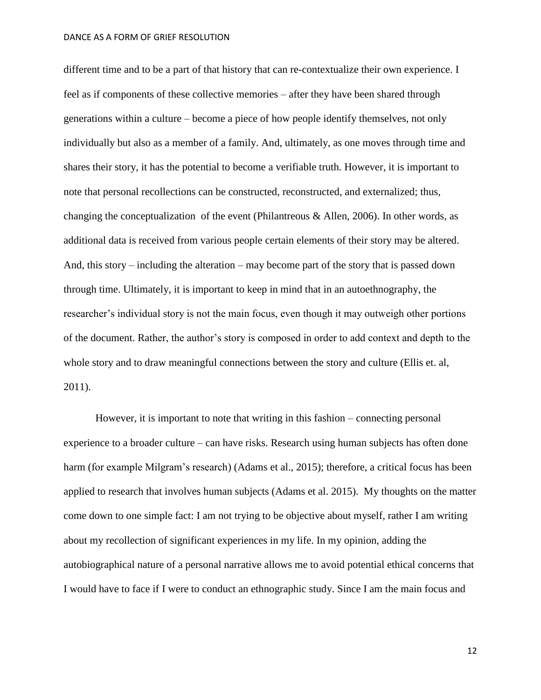different time and to be a part of that history that can re-contextualize their own experience. I feel as if components of these collective memories – after they have been shared through generations within a culture – become a piece of how people identify themselves, not only individually but also as a member of a family. And, ultimately, as one moves through time and shares their story, it has the potential to become a verifiable truth. However, it is important to note that personal recollections can be constructed, reconstructed, and externalized; thus, changing the conceptualization of the event (Philantreous & Allen, 2006). In other words, as additional data is received from various people certain elements of their story may be altered. And, this story – including the alteration – may become part of the story that is passed down through time. Ultimately, it is important to keep in mind that in an autoethnography, the researcher's individual story is not the main focus, even though it may outweigh other portions of the document. Rather, the author's story is composed in order to add context and depth to the whole story and to draw meaningful connections between the story and culture (Ellis et. al, 2011).

However, it is important to note that writing in this fashion – connecting personal experience to a broader culture – can have risks. Research using human subjects has often done harm (for example Milgram's research) (Adams et al., 2015); therefore, a critical focus has been applied to research that involves human subjects (Adams et al. 2015). My thoughts on the matter come down to one simple fact: I am not trying to be objective about myself, rather I am writing about my recollection of significant experiences in my life. In my opinion, adding the autobiographical nature of a personal narrative allows me to avoid potential ethical concerns that I would have to face if I were to conduct an ethnographic study. Since I am the main focus and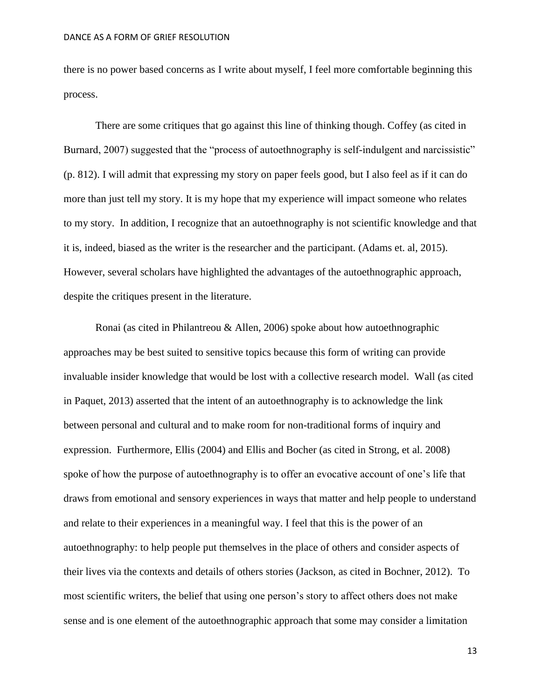there is no power based concerns as I write about myself, I feel more comfortable beginning this process.

There are some critiques that go against this line of thinking though. Coffey (as cited in Burnard, 2007) suggested that the "process of autoethnography is self-indulgent and narcissistic" (p. 812). I will admit that expressing my story on paper feels good, but I also feel as if it can do more than just tell my story. It is my hope that my experience will impact someone who relates to my story. In addition, I recognize that an autoethnography is not scientific knowledge and that it is, indeed, biased as the writer is the researcher and the participant. (Adams et. al, 2015). However, several scholars have highlighted the advantages of the autoethnographic approach, despite the critiques present in the literature.

Ronai (as cited in Philantreou & Allen, 2006) spoke about how autoethnographic approaches may be best suited to sensitive topics because this form of writing can provide invaluable insider knowledge that would be lost with a collective research model. Wall (as cited in Paquet, 2013) asserted that the intent of an autoethnography is to acknowledge the link between personal and cultural and to make room for non-traditional forms of inquiry and expression. Furthermore, Ellis (2004) and Ellis and Bocher (as cited in Strong, et al. 2008) spoke of how the purpose of autoethnography is to offer an evocative account of one's life that draws from emotional and sensory experiences in ways that matter and help people to understand and relate to their experiences in a meaningful way. I feel that this is the power of an autoethnography: to help people put themselves in the place of others and consider aspects of their lives via the contexts and details of others stories (Jackson, as cited in Bochner, 2012). To most scientific writers, the belief that using one person's story to affect others does not make sense and is one element of the autoethnographic approach that some may consider a limitation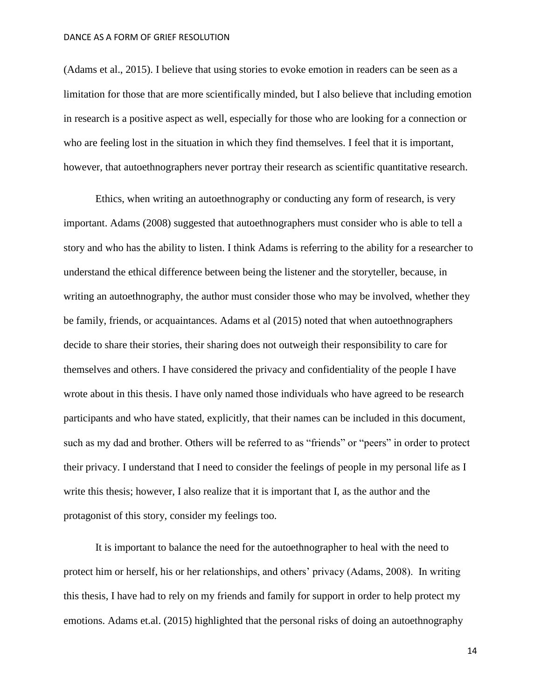(Adams et al., 2015). I believe that using stories to evoke emotion in readers can be seen as a limitation for those that are more scientifically minded, but I also believe that including emotion in research is a positive aspect as well, especially for those who are looking for a connection or who are feeling lost in the situation in which they find themselves. I feel that it is important, however, that autoethnographers never portray their research as scientific quantitative research.

Ethics, when writing an autoethnography or conducting any form of research, is very important. Adams (2008) suggested that autoethnographers must consider who is able to tell a story and who has the ability to listen. I think Adams is referring to the ability for a researcher to understand the ethical difference between being the listener and the storyteller, because, in writing an autoethnography, the author must consider those who may be involved, whether they be family, friends, or acquaintances. Adams et al (2015) noted that when autoethnographers decide to share their stories, their sharing does not outweigh their responsibility to care for themselves and others. I have considered the privacy and confidentiality of the people I have wrote about in this thesis. I have only named those individuals who have agreed to be research participants and who have stated, explicitly, that their names can be included in this document, such as my dad and brother. Others will be referred to as "friends" or "peers" in order to protect their privacy. I understand that I need to consider the feelings of people in my personal life as I write this thesis; however, I also realize that it is important that I, as the author and the protagonist of this story, consider my feelings too.

It is important to balance the need for the autoethnographer to heal with the need to protect him or herself, his or her relationships, and others' privacy (Adams, 2008). In writing this thesis, I have had to rely on my friends and family for support in order to help protect my emotions. Adams et.al. (2015) highlighted that the personal risks of doing an autoethnography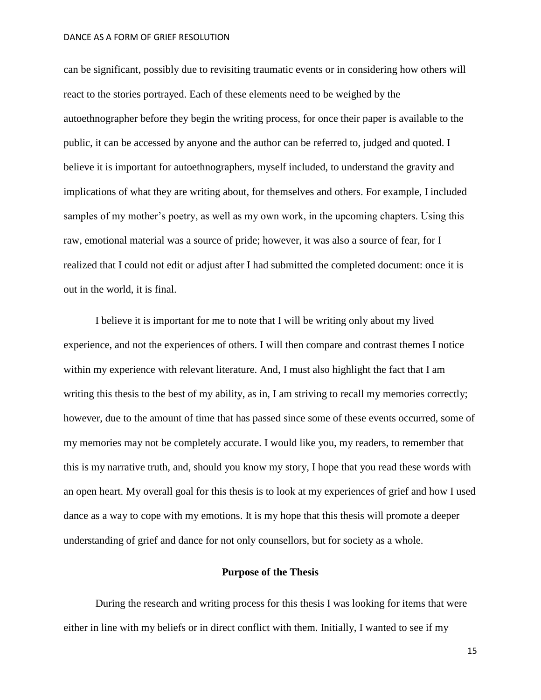can be significant, possibly due to revisiting traumatic events or in considering how others will react to the stories portrayed. Each of these elements need to be weighed by the autoethnographer before they begin the writing process, for once their paper is available to the public, it can be accessed by anyone and the author can be referred to, judged and quoted. I believe it is important for autoethnographers, myself included, to understand the gravity and implications of what they are writing about, for themselves and others. For example, I included samples of my mother's poetry, as well as my own work, in the upcoming chapters. Using this raw, emotional material was a source of pride; however, it was also a source of fear, for I realized that I could not edit or adjust after I had submitted the completed document: once it is out in the world, it is final.

I believe it is important for me to note that I will be writing only about my lived experience, and not the experiences of others. I will then compare and contrast themes I notice within my experience with relevant literature. And, I must also highlight the fact that I am writing this thesis to the best of my ability, as in, I am striving to recall my memories correctly; however, due to the amount of time that has passed since some of these events occurred, some of my memories may not be completely accurate. I would like you, my readers, to remember that this is my narrative truth, and, should you know my story, I hope that you read these words with an open heart. My overall goal for this thesis is to look at my experiences of grief and how I used dance as a way to cope with my emotions. It is my hope that this thesis will promote a deeper understanding of grief and dance for not only counsellors, but for society as a whole.

# **Purpose of the Thesis**

During the research and writing process for this thesis I was looking for items that were either in line with my beliefs or in direct conflict with them. Initially, I wanted to see if my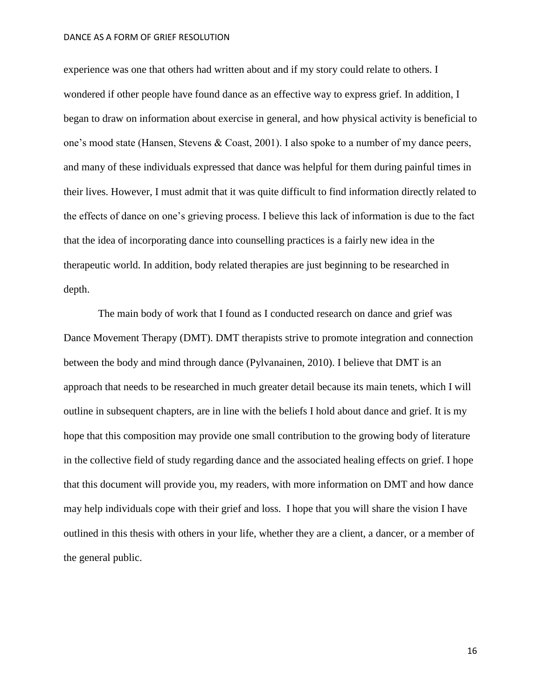experience was one that others had written about and if my story could relate to others. I wondered if other people have found dance as an effective way to express grief. In addition, I began to draw on information about exercise in general, and how physical activity is beneficial to one's mood state (Hansen, Stevens & Coast, 2001). I also spoke to a number of my dance peers, and many of these individuals expressed that dance was helpful for them during painful times in their lives. However, I must admit that it was quite difficult to find information directly related to the effects of dance on one's grieving process. I believe this lack of information is due to the fact that the idea of incorporating dance into counselling practices is a fairly new idea in the therapeutic world. In addition, body related therapies are just beginning to be researched in depth.

The main body of work that I found as I conducted research on dance and grief was Dance Movement Therapy (DMT). DMT therapists strive to promote integration and connection between the body and mind through dance (Pylvanainen, 2010). I believe that DMT is an approach that needs to be researched in much greater detail because its main tenets, which I will outline in subsequent chapters, are in line with the beliefs I hold about dance and grief. It is my hope that this composition may provide one small contribution to the growing body of literature in the collective field of study regarding dance and the associated healing effects on grief. I hope that this document will provide you, my readers, with more information on DMT and how dance may help individuals cope with their grief and loss. I hope that you will share the vision I have outlined in this thesis with others in your life, whether they are a client, a dancer, or a member of the general public.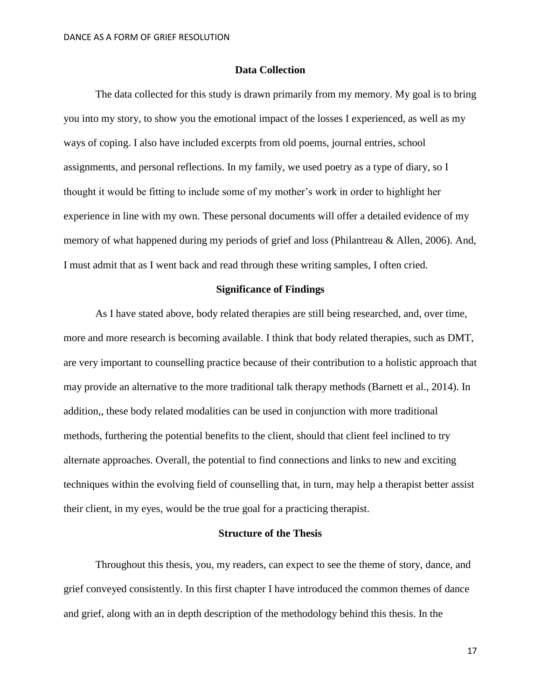# **Data Collection**

The data collected for this study is drawn primarily from my memory. My goal is to bring you into my story, to show you the emotional impact of the losses I experienced, as well as my ways of coping. I also have included excerpts from old poems, journal entries, school assignments, and personal reflections. In my family, we used poetry as a type of diary, so I thought it would be fitting to include some of my mother's work in order to highlight her experience in line with my own. These personal documents will offer a detailed evidence of my memory of what happened during my periods of grief and loss (Philantreau & Allen, 2006). And, I must admit that as I went back and read through these writing samples, I often cried.

## **Significance of Findings**

As I have stated above, body related therapies are still being researched, and, over time, more and more research is becoming available. I think that body related therapies, such as DMT, are very important to counselling practice because of their contribution to a holistic approach that may provide an alternative to the more traditional talk therapy methods (Barnett et al., 2014). In addition,, these body related modalities can be used in conjunction with more traditional methods, furthering the potential benefits to the client, should that client feel inclined to try alternate approaches. Overall, the potential to find connections and links to new and exciting techniques within the evolving field of counselling that, in turn, may help a therapist better assist their client, in my eyes, would be the true goal for a practicing therapist.

## **Structure of the Thesis**

Throughout this thesis, you, my readers, can expect to see the theme of story, dance, and grief conveyed consistently. In this first chapter I have introduced the common themes of dance and grief, along with an in depth description of the methodology behind this thesis. In the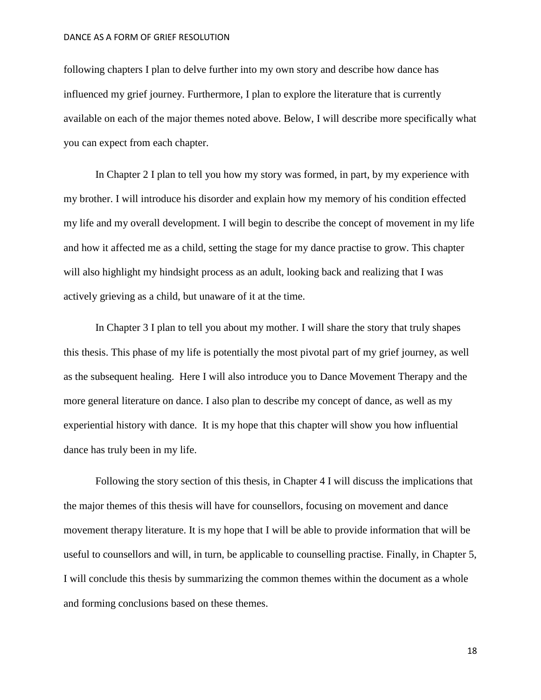following chapters I plan to delve further into my own story and describe how dance has influenced my grief journey. Furthermore, I plan to explore the literature that is currently available on each of the major themes noted above. Below, I will describe more specifically what you can expect from each chapter.

In Chapter 2 I plan to tell you how my story was formed, in part, by my experience with my brother. I will introduce his disorder and explain how my memory of his condition effected my life and my overall development. I will begin to describe the concept of movement in my life and how it affected me as a child, setting the stage for my dance practise to grow. This chapter will also highlight my hindsight process as an adult, looking back and realizing that I was actively grieving as a child, but unaware of it at the time.

In Chapter 3 I plan to tell you about my mother. I will share the story that truly shapes this thesis. This phase of my life is potentially the most pivotal part of my grief journey, as well as the subsequent healing. Here I will also introduce you to Dance Movement Therapy and the more general literature on dance. I also plan to describe my concept of dance, as well as my experiential history with dance. It is my hope that this chapter will show you how influential dance has truly been in my life.

Following the story section of this thesis, in Chapter 4 I will discuss the implications that the major themes of this thesis will have for counsellors, focusing on movement and dance movement therapy literature. It is my hope that I will be able to provide information that will be useful to counsellors and will, in turn, be applicable to counselling practise. Finally, in Chapter 5, I will conclude this thesis by summarizing the common themes within the document as a whole and forming conclusions based on these themes.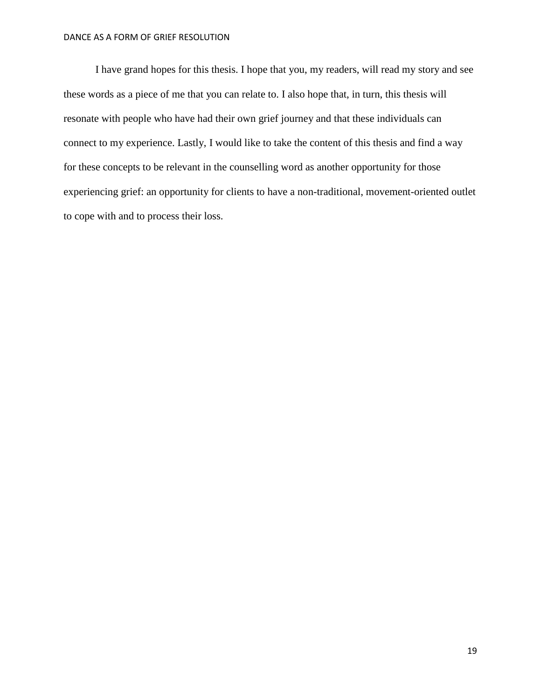I have grand hopes for this thesis. I hope that you, my readers, will read my story and see these words as a piece of me that you can relate to. I also hope that, in turn, this thesis will resonate with people who have had their own grief journey and that these individuals can connect to my experience. Lastly, I would like to take the content of this thesis and find a way for these concepts to be relevant in the counselling word as another opportunity for those experiencing grief: an opportunity for clients to have a non-traditional, movement-oriented outlet to cope with and to process their loss.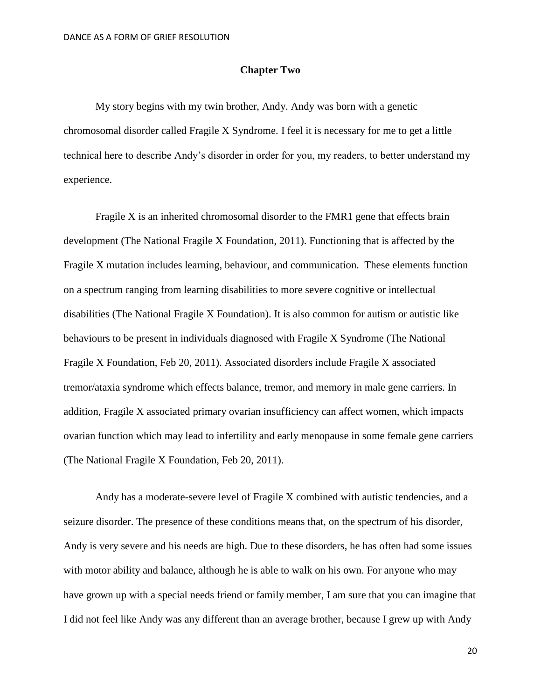# **Chapter Two**

My story begins with my twin brother, Andy. Andy was born with a genetic chromosomal disorder called Fragile X Syndrome. I feel it is necessary for me to get a little technical here to describe Andy's disorder in order for you, my readers, to better understand my experience.

Fragile X is an inherited chromosomal disorder to the FMR1 gene that effects brain development (The National Fragile X Foundation, 2011). Functioning that is affected by the Fragile X mutation includes learning, behaviour, and communication. These elements function on a spectrum ranging from learning disabilities to more severe cognitive or intellectual disabilities (The National Fragile X Foundation). It is also common for autism or autistic like behaviours to be present in individuals diagnosed with Fragile X Syndrome (The National Fragile X Foundation, Feb 20, 2011). Associated disorders include Fragile X associated tremor/ataxia syndrome which effects balance, tremor, and memory in male gene carriers. In addition, Fragile X associated primary ovarian insufficiency can affect women, which impacts ovarian function which may lead to infertility and early menopause in some female gene carriers (The National Fragile X Foundation, Feb 20, 2011).

Andy has a moderate-severe level of Fragile X combined with autistic tendencies, and a seizure disorder. The presence of these conditions means that, on the spectrum of his disorder, Andy is very severe and his needs are high. Due to these disorders, he has often had some issues with motor ability and balance, although he is able to walk on his own. For anyone who may have grown up with a special needs friend or family member, I am sure that you can imagine that I did not feel like Andy was any different than an average brother, because I grew up with Andy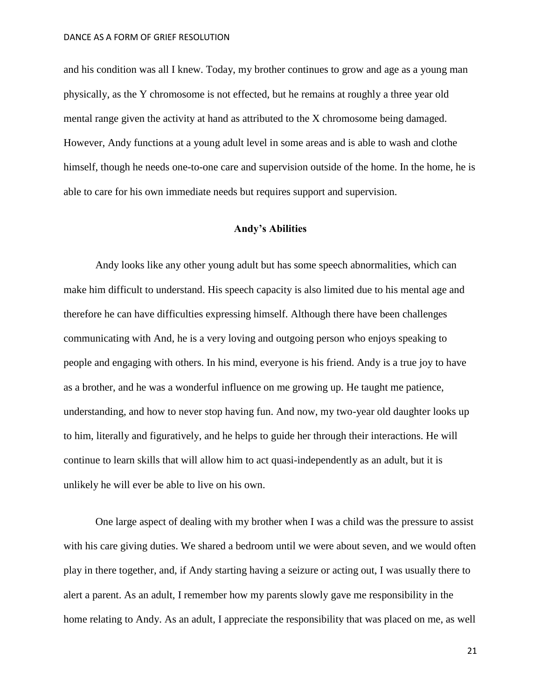and his condition was all I knew. Today, my brother continues to grow and age as a young man physically, as the Y chromosome is not effected, but he remains at roughly a three year old mental range given the activity at hand as attributed to the X chromosome being damaged. However, Andy functions at a young adult level in some areas and is able to wash and clothe himself, though he needs one-to-one care and supervision outside of the home. In the home, he is able to care for his own immediate needs but requires support and supervision.

# **Andy's Abilities**

Andy looks like any other young adult but has some speech abnormalities, which can make him difficult to understand. His speech capacity is also limited due to his mental age and therefore he can have difficulties expressing himself. Although there have been challenges communicating with And, he is a very loving and outgoing person who enjoys speaking to people and engaging with others. In his mind, everyone is his friend. Andy is a true joy to have as a brother, and he was a wonderful influence on me growing up. He taught me patience, understanding, and how to never stop having fun. And now, my two-year old daughter looks up to him, literally and figuratively, and he helps to guide her through their interactions. He will continue to learn skills that will allow him to act quasi-independently as an adult, but it is unlikely he will ever be able to live on his own.

One large aspect of dealing with my brother when I was a child was the pressure to assist with his care giving duties. We shared a bedroom until we were about seven, and we would often play in there together, and, if Andy starting having a seizure or acting out, I was usually there to alert a parent. As an adult, I remember how my parents slowly gave me responsibility in the home relating to Andy. As an adult, I appreciate the responsibility that was placed on me, as well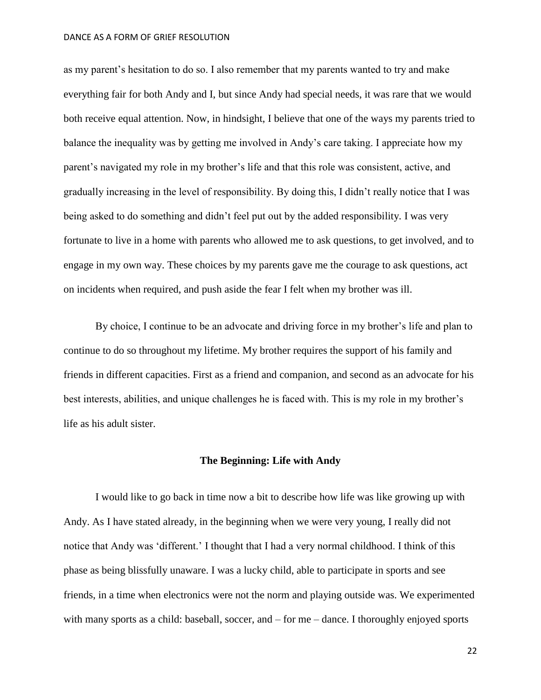as my parent's hesitation to do so. I also remember that my parents wanted to try and make everything fair for both Andy and I, but since Andy had special needs, it was rare that we would both receive equal attention. Now, in hindsight, I believe that one of the ways my parents tried to balance the inequality was by getting me involved in Andy's care taking. I appreciate how my parent's navigated my role in my brother's life and that this role was consistent, active, and gradually increasing in the level of responsibility. By doing this, I didn't really notice that I was being asked to do something and didn't feel put out by the added responsibility. I was very fortunate to live in a home with parents who allowed me to ask questions, to get involved, and to engage in my own way. These choices by my parents gave me the courage to ask questions, act on incidents when required, and push aside the fear I felt when my brother was ill.

By choice, I continue to be an advocate and driving force in my brother's life and plan to continue to do so throughout my lifetime. My brother requires the support of his family and friends in different capacities. First as a friend and companion, and second as an advocate for his best interests, abilities, and unique challenges he is faced with. This is my role in my brother's life as his adult sister.

### **The Beginning: Life with Andy**

I would like to go back in time now a bit to describe how life was like growing up with Andy. As I have stated already, in the beginning when we were very young, I really did not notice that Andy was 'different.' I thought that I had a very normal childhood. I think of this phase as being blissfully unaware. I was a lucky child, able to participate in sports and see friends, in a time when electronics were not the norm and playing outside was. We experimented with many sports as a child: baseball, soccer, and – for me – dance. I thoroughly enjoyed sports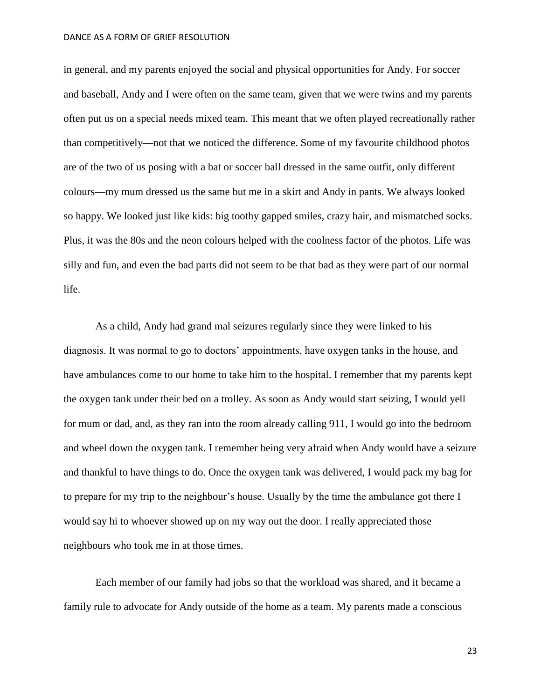in general, and my parents enjoyed the social and physical opportunities for Andy. For soccer and baseball, Andy and I were often on the same team, given that we were twins and my parents often put us on a special needs mixed team. This meant that we often played recreationally rather than competitively—not that we noticed the difference. Some of my favourite childhood photos are of the two of us posing with a bat or soccer ball dressed in the same outfit, only different colours—my mum dressed us the same but me in a skirt and Andy in pants. We always looked so happy. We looked just like kids: big toothy gapped smiles, crazy hair, and mismatched socks. Plus, it was the 80s and the neon colours helped with the coolness factor of the photos. Life was silly and fun, and even the bad parts did not seem to be that bad as they were part of our normal life.

As a child, Andy had grand mal seizures regularly since they were linked to his diagnosis. It was normal to go to doctors' appointments, have oxygen tanks in the house, and have ambulances come to our home to take him to the hospital. I remember that my parents kept the oxygen tank under their bed on a trolley. As soon as Andy would start seizing, I would yell for mum or dad, and, as they ran into the room already calling 911, I would go into the bedroom and wheel down the oxygen tank. I remember being very afraid when Andy would have a seizure and thankful to have things to do. Once the oxygen tank was delivered, I would pack my bag for to prepare for my trip to the neighbour's house. Usually by the time the ambulance got there I would say hi to whoever showed up on my way out the door. I really appreciated those neighbours who took me in at those times.

Each member of our family had jobs so that the workload was shared, and it became a family rule to advocate for Andy outside of the home as a team. My parents made a conscious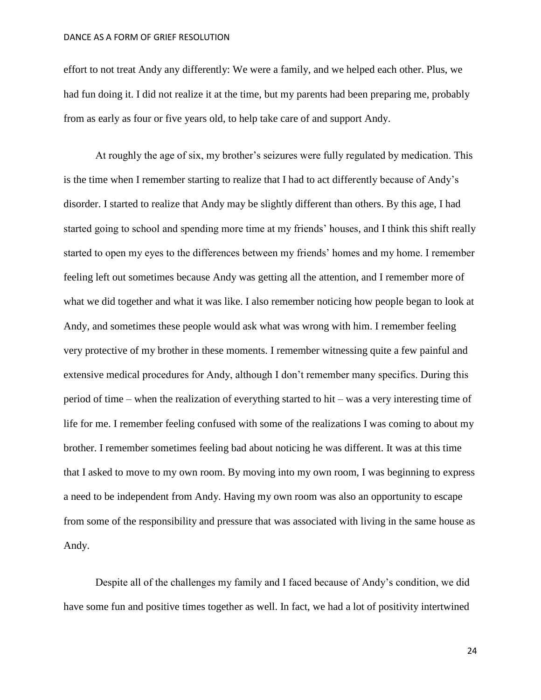effort to not treat Andy any differently: We were a family, and we helped each other. Plus, we had fun doing it. I did not realize it at the time, but my parents had been preparing me, probably from as early as four or five years old, to help take care of and support Andy.

At roughly the age of six, my brother's seizures were fully regulated by medication. This is the time when I remember starting to realize that I had to act differently because of Andy's disorder. I started to realize that Andy may be slightly different than others. By this age, I had started going to school and spending more time at my friends' houses, and I think this shift really started to open my eyes to the differences between my friends' homes and my home. I remember feeling left out sometimes because Andy was getting all the attention, and I remember more of what we did together and what it was like. I also remember noticing how people began to look at Andy, and sometimes these people would ask what was wrong with him. I remember feeling very protective of my brother in these moments. I remember witnessing quite a few painful and extensive medical procedures for Andy, although I don't remember many specifics. During this period of time – when the realization of everything started to hit – was a very interesting time of life for me. I remember feeling confused with some of the realizations I was coming to about my brother. I remember sometimes feeling bad about noticing he was different. It was at this time that I asked to move to my own room. By moving into my own room, I was beginning to express a need to be independent from Andy. Having my own room was also an opportunity to escape from some of the responsibility and pressure that was associated with living in the same house as Andy.

Despite all of the challenges my family and I faced because of Andy's condition, we did have some fun and positive times together as well. In fact, we had a lot of positivity intertwined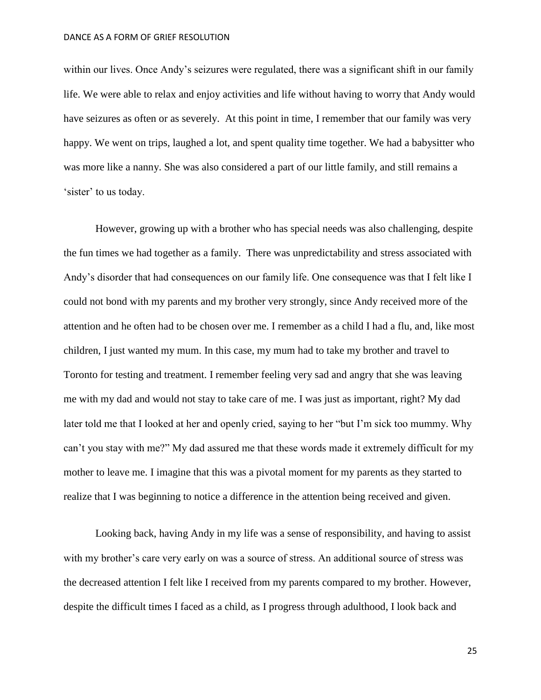within our lives. Once Andy's seizures were regulated, there was a significant shift in our family life. We were able to relax and enjoy activities and life without having to worry that Andy would have seizures as often or as severely. At this point in time, I remember that our family was very happy. We went on trips, laughed a lot, and spent quality time together. We had a babysitter who was more like a nanny. She was also considered a part of our little family, and still remains a 'sister' to us today.

However, growing up with a brother who has special needs was also challenging, despite the fun times we had together as a family. There was unpredictability and stress associated with Andy's disorder that had consequences on our family life. One consequence was that I felt like I could not bond with my parents and my brother very strongly, since Andy received more of the attention and he often had to be chosen over me. I remember as a child I had a flu, and, like most children, I just wanted my mum. In this case, my mum had to take my brother and travel to Toronto for testing and treatment. I remember feeling very sad and angry that she was leaving me with my dad and would not stay to take care of me. I was just as important, right? My dad later told me that I looked at her and openly cried, saying to her "but I'm sick too mummy. Why can't you stay with me?" My dad assured me that these words made it extremely difficult for my mother to leave me. I imagine that this was a pivotal moment for my parents as they started to realize that I was beginning to notice a difference in the attention being received and given.

Looking back, having Andy in my life was a sense of responsibility, and having to assist with my brother's care very early on was a source of stress. An additional source of stress was the decreased attention I felt like I received from my parents compared to my brother. However, despite the difficult times I faced as a child, as I progress through adulthood, I look back and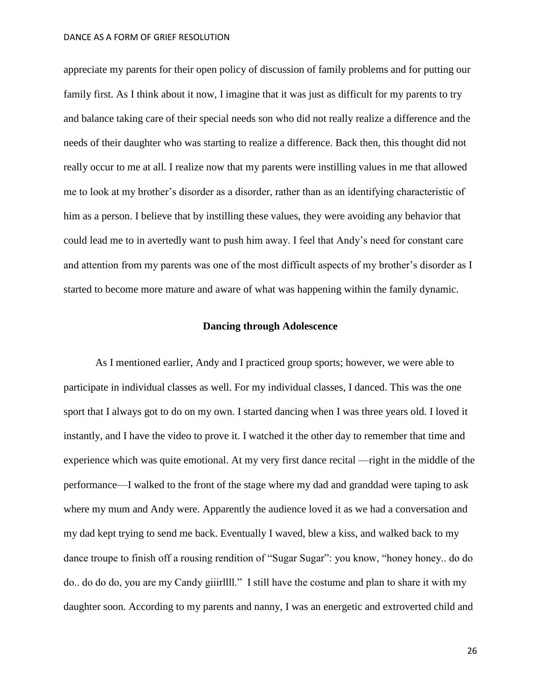appreciate my parents for their open policy of discussion of family problems and for putting our family first. As I think about it now, I imagine that it was just as difficult for my parents to try and balance taking care of their special needs son who did not really realize a difference and the needs of their daughter who was starting to realize a difference. Back then, this thought did not really occur to me at all. I realize now that my parents were instilling values in me that allowed me to look at my brother's disorder as a disorder, rather than as an identifying characteristic of him as a person. I believe that by instilling these values, they were avoiding any behavior that could lead me to in avertedly want to push him away. I feel that Andy's need for constant care and attention from my parents was one of the most difficult aspects of my brother's disorder as I started to become more mature and aware of what was happening within the family dynamic.

# **Dancing through Adolescence**

As I mentioned earlier, Andy and I practiced group sports; however, we were able to participate in individual classes as well. For my individual classes, I danced. This was the one sport that I always got to do on my own. I started dancing when I was three years old. I loved it instantly, and I have the video to prove it. I watched it the other day to remember that time and experience which was quite emotional. At my very first dance recital —right in the middle of the performance—I walked to the front of the stage where my dad and granddad were taping to ask where my mum and Andy were. Apparently the audience loved it as we had a conversation and my dad kept trying to send me back. Eventually I waved, blew a kiss, and walked back to my dance troupe to finish off a rousing rendition of "Sugar Sugar": you know, "honey honey.. do do do.. do do do, you are my Candy giiirllll." I still have the costume and plan to share it with my daughter soon. According to my parents and nanny, I was an energetic and extroverted child and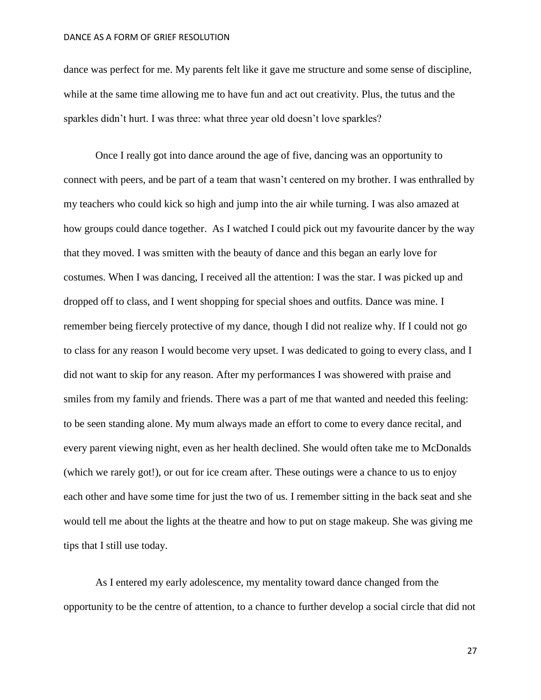dance was perfect for me. My parents felt like it gave me structure and some sense of discipline, while at the same time allowing me to have fun and act out creativity. Plus, the tutus and the sparkles didn't hurt. I was three: what three year old doesn't love sparkles?

Once I really got into dance around the age of five, dancing was an opportunity to connect with peers, and be part of a team that wasn't centered on my brother. I was enthralled by my teachers who could kick so high and jump into the air while turning. I was also amazed at how groups could dance together. As I watched I could pick out my favourite dancer by the way that they moved. I was smitten with the beauty of dance and this began an early love for costumes. When I was dancing, I received all the attention: I was the star. I was picked up and dropped off to class, and I went shopping for special shoes and outfits. Dance was mine. I remember being fiercely protective of my dance, though I did not realize why. If I could not go to class for any reason I would become very upset. I was dedicated to going to every class, and I did not want to skip for any reason. After my performances I was showered with praise and smiles from my family and friends. There was a part of me that wanted and needed this feeling: to be seen standing alone. My mum always made an effort to come to every dance recital, and every parent viewing night, even as her health declined. She would often take me to McDonalds (which we rarely got!), or out for ice cream after. These outings were a chance to us to enjoy each other and have some time for just the two of us. I remember sitting in the back seat and she would tell me about the lights at the theatre and how to put on stage makeup. She was giving me tips that I still use today.

As I entered my early adolescence, my mentality toward dance changed from the opportunity to be the centre of attention, to a chance to further develop a social circle that did not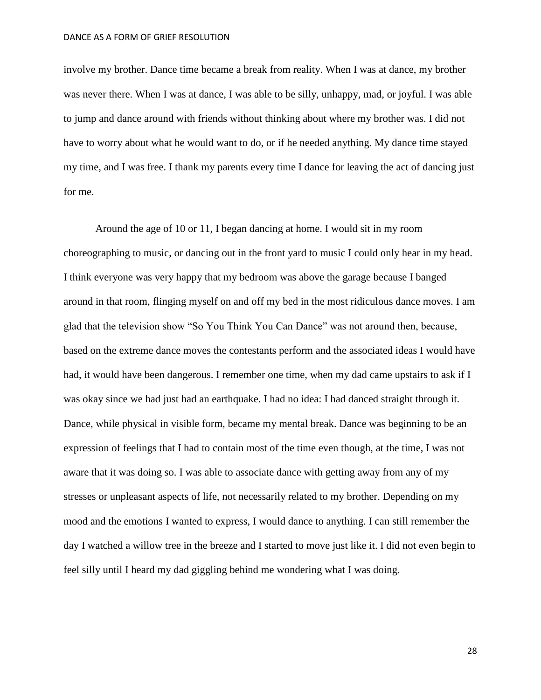involve my brother. Dance time became a break from reality. When I was at dance, my brother was never there. When I was at dance, I was able to be silly, unhappy, mad, or joyful. I was able to jump and dance around with friends without thinking about where my brother was. I did not have to worry about what he would want to do, or if he needed anything. My dance time stayed my time, and I was free. I thank my parents every time I dance for leaving the act of dancing just for me.

Around the age of 10 or 11, I began dancing at home. I would sit in my room choreographing to music, or dancing out in the front yard to music I could only hear in my head. I think everyone was very happy that my bedroom was above the garage because I banged around in that room, flinging myself on and off my bed in the most ridiculous dance moves. I am glad that the television show "So You Think You Can Dance" was not around then, because, based on the extreme dance moves the contestants perform and the associated ideas I would have had, it would have been dangerous. I remember one time, when my dad came upstairs to ask if I was okay since we had just had an earthquake. I had no idea: I had danced straight through it. Dance, while physical in visible form, became my mental break. Dance was beginning to be an expression of feelings that I had to contain most of the time even though, at the time, I was not aware that it was doing so. I was able to associate dance with getting away from any of my stresses or unpleasant aspects of life, not necessarily related to my brother. Depending on my mood and the emotions I wanted to express, I would dance to anything. I can still remember the day I watched a willow tree in the breeze and I started to move just like it. I did not even begin to feel silly until I heard my dad giggling behind me wondering what I was doing.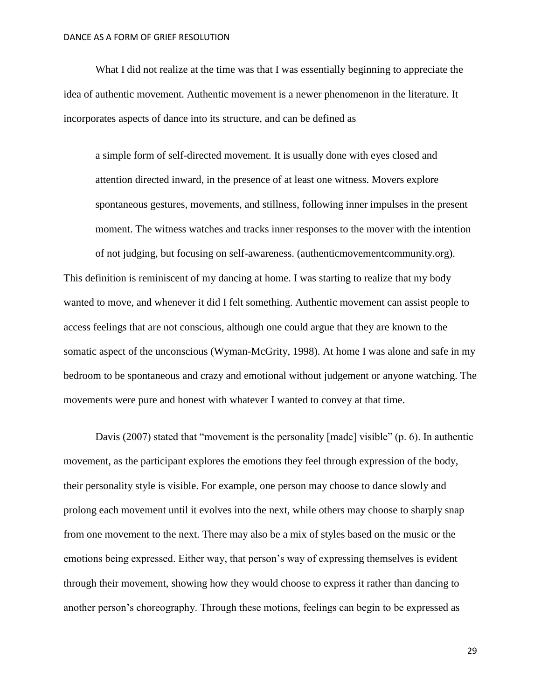What I did not realize at the time was that I was essentially beginning to appreciate the idea of authentic movement. Authentic movement is a newer phenomenon in the literature. It incorporates aspects of dance into its structure, and can be defined as

a simple form of self-directed movement. It is usually done with eyes closed and attention directed inward, in the presence of at least one witness. Movers explore spontaneous gestures, movements, and stillness, following inner impulses in the present moment. The witness watches and tracks inner responses to the mover with the intention

of not judging, but focusing on self-awareness. (authenticmovementcommunity.org). This definition is reminiscent of my dancing at home. I was starting to realize that my body wanted to move, and whenever it did I felt something. Authentic movement can assist people to access feelings that are not conscious, although one could argue that they are known to the somatic aspect of the unconscious (Wyman-McGrity, 1998). At home I was alone and safe in my bedroom to be spontaneous and crazy and emotional without judgement or anyone watching. The movements were pure and honest with whatever I wanted to convey at that time.

Davis (2007) stated that "movement is the personality [made] visible" (p. 6). In authentic movement, as the participant explores the emotions they feel through expression of the body, their personality style is visible. For example, one person may choose to dance slowly and prolong each movement until it evolves into the next, while others may choose to sharply snap from one movement to the next. There may also be a mix of styles based on the music or the emotions being expressed. Either way, that person's way of expressing themselves is evident through their movement, showing how they would choose to express it rather than dancing to another person's choreography. Through these motions, feelings can begin to be expressed as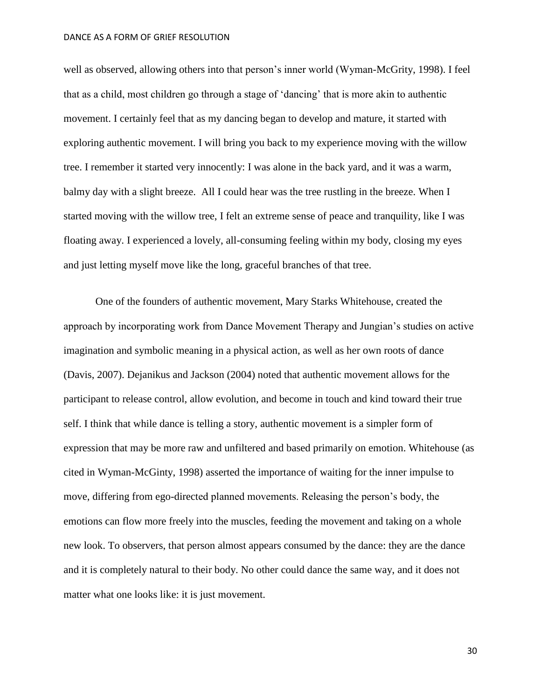well as observed, allowing others into that person's inner world (Wyman-McGrity, 1998). I feel that as a child, most children go through a stage of 'dancing' that is more akin to authentic movement. I certainly feel that as my dancing began to develop and mature, it started with exploring authentic movement. I will bring you back to my experience moving with the willow tree. I remember it started very innocently: I was alone in the back yard, and it was a warm, balmy day with a slight breeze. All I could hear was the tree rustling in the breeze. When I started moving with the willow tree, I felt an extreme sense of peace and tranquility, like I was floating away. I experienced a lovely, all-consuming feeling within my body, closing my eyes and just letting myself move like the long, graceful branches of that tree.

One of the founders of authentic movement, Mary Starks Whitehouse, created the approach by incorporating work from Dance Movement Therapy and Jungian's studies on active imagination and symbolic meaning in a physical action, as well as her own roots of dance (Davis, 2007). Dejanikus and Jackson (2004) noted that authentic movement allows for the participant to release control, allow evolution, and become in touch and kind toward their true self. I think that while dance is telling a story, authentic movement is a simpler form of expression that may be more raw and unfiltered and based primarily on emotion. Whitehouse (as cited in Wyman-McGinty, 1998) asserted the importance of waiting for the inner impulse to move, differing from ego-directed planned movements. Releasing the person's body, the emotions can flow more freely into the muscles, feeding the movement and taking on a whole new look. To observers, that person almost appears consumed by the dance: they are the dance and it is completely natural to their body. No other could dance the same way, and it does not matter what one looks like: it is just movement.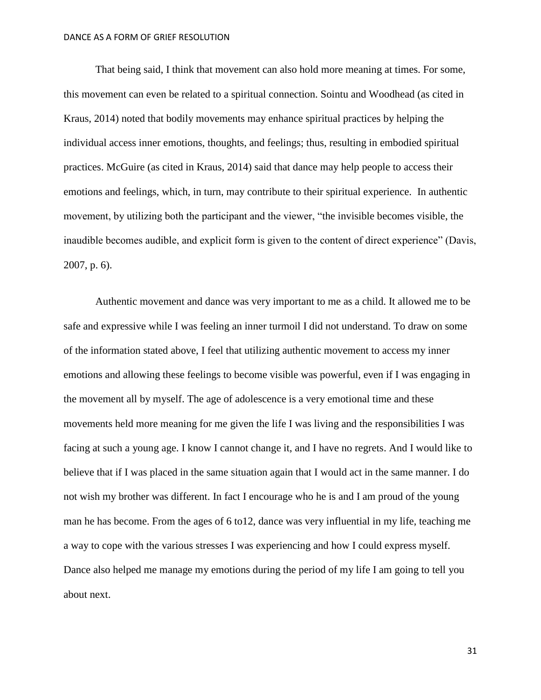That being said, I think that movement can also hold more meaning at times. For some, this movement can even be related to a spiritual connection. Sointu and Woodhead (as cited in Kraus, 2014) noted that bodily movements may enhance spiritual practices by helping the individual access inner emotions, thoughts, and feelings; thus, resulting in embodied spiritual practices. McGuire (as cited in Kraus, 2014) said that dance may help people to access their emotions and feelings, which, in turn, may contribute to their spiritual experience. In authentic movement, by utilizing both the participant and the viewer, "the invisible becomes visible, the inaudible becomes audible, and explicit form is given to the content of direct experience" (Davis, 2007, p. 6).

Authentic movement and dance was very important to me as a child. It allowed me to be safe and expressive while I was feeling an inner turmoil I did not understand. To draw on some of the information stated above, I feel that utilizing authentic movement to access my inner emotions and allowing these feelings to become visible was powerful, even if I was engaging in the movement all by myself. The age of adolescence is a very emotional time and these movements held more meaning for me given the life I was living and the responsibilities I was facing at such a young age. I know I cannot change it, and I have no regrets. And I would like to believe that if I was placed in the same situation again that I would act in the same manner. I do not wish my brother was different. In fact I encourage who he is and I am proud of the young man he has become. From the ages of 6 to12, dance was very influential in my life, teaching me a way to cope with the various stresses I was experiencing and how I could express myself. Dance also helped me manage my emotions during the period of my life I am going to tell you about next.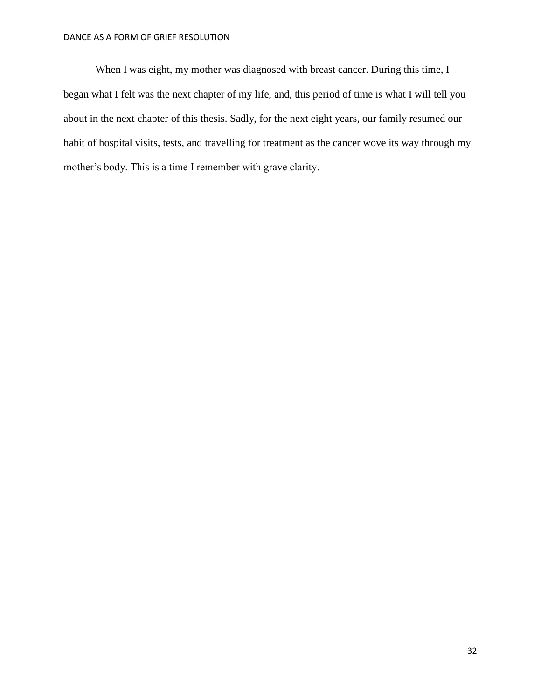When I was eight, my mother was diagnosed with breast cancer. During this time, I began what I felt was the next chapter of my life, and, this period of time is what I will tell you about in the next chapter of this thesis. Sadly, for the next eight years, our family resumed our habit of hospital visits, tests, and travelling for treatment as the cancer wove its way through my mother's body. This is a time I remember with grave clarity.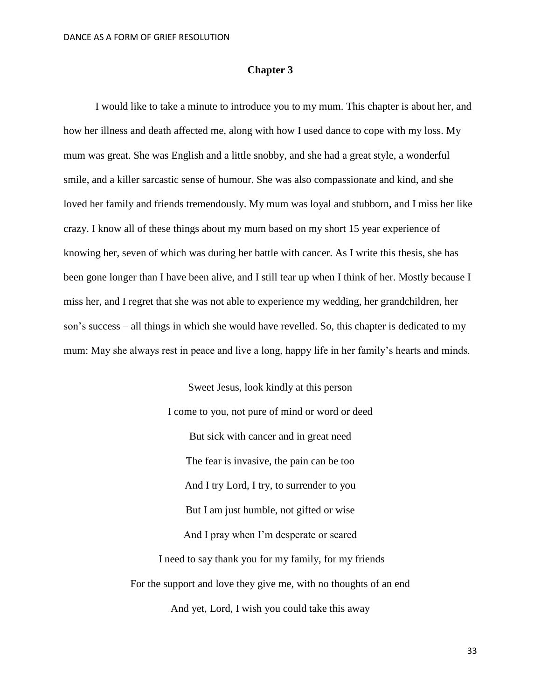## **Chapter 3**

I would like to take a minute to introduce you to my mum. This chapter is about her, and how her illness and death affected me, along with how I used dance to cope with my loss. My mum was great. She was English and a little snobby, and she had a great style, a wonderful smile, and a killer sarcastic sense of humour. She was also compassionate and kind, and she loved her family and friends tremendously. My mum was loyal and stubborn, and I miss her like crazy. I know all of these things about my mum based on my short 15 year experience of knowing her, seven of which was during her battle with cancer. As I write this thesis, she has been gone longer than I have been alive, and I still tear up when I think of her. Mostly because I miss her, and I regret that she was not able to experience my wedding, her grandchildren, her son's success – all things in which she would have revelled. So, this chapter is dedicated to my mum: May she always rest in peace and live a long, happy life in her family's hearts and minds.

> Sweet Jesus, look kindly at this person I come to you, not pure of mind or word or deed But sick with cancer and in great need The fear is invasive, the pain can be too And I try Lord, I try, to surrender to you But I am just humble, not gifted or wise And I pray when I'm desperate or scared I need to say thank you for my family, for my friends For the support and love they give me, with no thoughts of an end

> > And yet, Lord, I wish you could take this away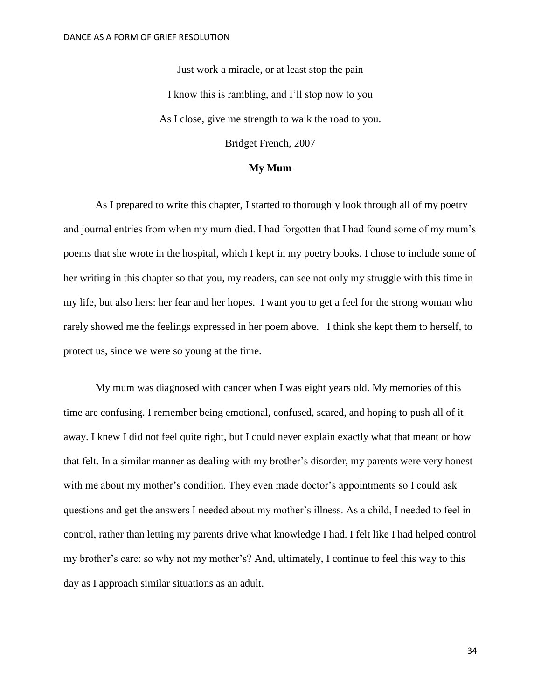Just work a miracle, or at least stop the pain I know this is rambling, and I'll stop now to you As I close, give me strength to walk the road to you.

Bridget French, 2007

# **My Mum**

As I prepared to write this chapter, I started to thoroughly look through all of my poetry and journal entries from when my mum died. I had forgotten that I had found some of my mum's poems that she wrote in the hospital, which I kept in my poetry books. I chose to include some of her writing in this chapter so that you, my readers, can see not only my struggle with this time in my life, but also hers: her fear and her hopes. I want you to get a feel for the strong woman who rarely showed me the feelings expressed in her poem above. I think she kept them to herself, to protect us, since we were so young at the time.

My mum was diagnosed with cancer when I was eight years old. My memories of this time are confusing. I remember being emotional, confused, scared, and hoping to push all of it away. I knew I did not feel quite right, but I could never explain exactly what that meant or how that felt. In a similar manner as dealing with my brother's disorder, my parents were very honest with me about my mother's condition. They even made doctor's appointments so I could ask questions and get the answers I needed about my mother's illness. As a child, I needed to feel in control, rather than letting my parents drive what knowledge I had. I felt like I had helped control my brother's care: so why not my mother's? And, ultimately, I continue to feel this way to this day as I approach similar situations as an adult.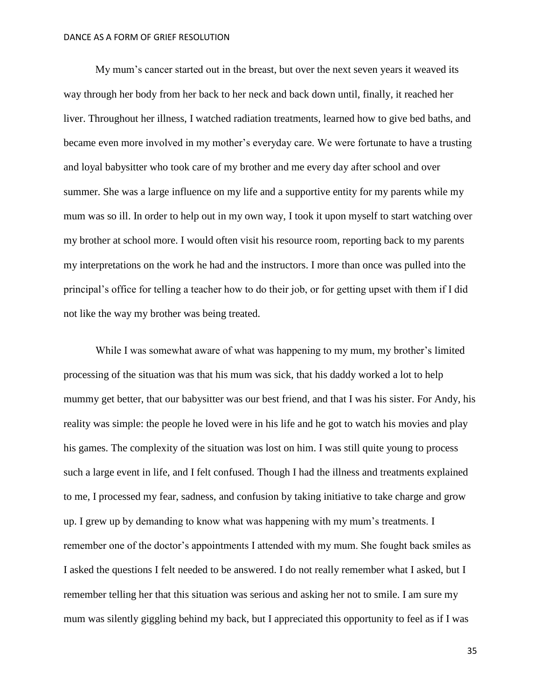My mum's cancer started out in the breast, but over the next seven years it weaved its way through her body from her back to her neck and back down until, finally, it reached her liver. Throughout her illness, I watched radiation treatments, learned how to give bed baths, and became even more involved in my mother's everyday care. We were fortunate to have a trusting and loyal babysitter who took care of my brother and me every day after school and over summer. She was a large influence on my life and a supportive entity for my parents while my mum was so ill. In order to help out in my own way, I took it upon myself to start watching over my brother at school more. I would often visit his resource room, reporting back to my parents my interpretations on the work he had and the instructors. I more than once was pulled into the principal's office for telling a teacher how to do their job, or for getting upset with them if I did not like the way my brother was being treated.

While I was somewhat aware of what was happening to my mum, my brother's limited processing of the situation was that his mum was sick, that his daddy worked a lot to help mummy get better, that our babysitter was our best friend, and that I was his sister. For Andy, his reality was simple: the people he loved were in his life and he got to watch his movies and play his games. The complexity of the situation was lost on him. I was still quite young to process such a large event in life, and I felt confused. Though I had the illness and treatments explained to me, I processed my fear, sadness, and confusion by taking initiative to take charge and grow up. I grew up by demanding to know what was happening with my mum's treatments. I remember one of the doctor's appointments I attended with my mum. She fought back smiles as I asked the questions I felt needed to be answered. I do not really remember what I asked, but I remember telling her that this situation was serious and asking her not to smile. I am sure my mum was silently giggling behind my back, but I appreciated this opportunity to feel as if I was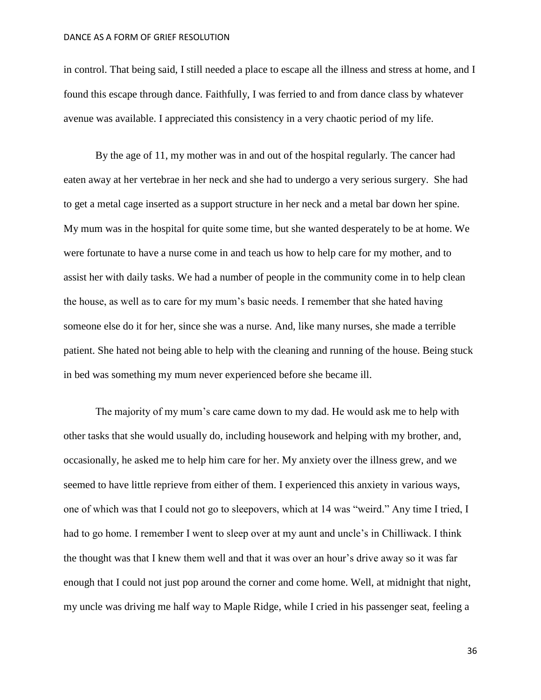in control. That being said, I still needed a place to escape all the illness and stress at home, and I found this escape through dance. Faithfully, I was ferried to and from dance class by whatever avenue was available. I appreciated this consistency in a very chaotic period of my life.

By the age of 11, my mother was in and out of the hospital regularly. The cancer had eaten away at her vertebrae in her neck and she had to undergo a very serious surgery. She had to get a metal cage inserted as a support structure in her neck and a metal bar down her spine. My mum was in the hospital for quite some time, but she wanted desperately to be at home. We were fortunate to have a nurse come in and teach us how to help care for my mother, and to assist her with daily tasks. We had a number of people in the community come in to help clean the house, as well as to care for my mum's basic needs. I remember that she hated having someone else do it for her, since she was a nurse. And, like many nurses, she made a terrible patient. She hated not being able to help with the cleaning and running of the house. Being stuck in bed was something my mum never experienced before she became ill.

The majority of my mum's care came down to my dad. He would ask me to help with other tasks that she would usually do, including housework and helping with my brother, and, occasionally, he asked me to help him care for her. My anxiety over the illness grew, and we seemed to have little reprieve from either of them. I experienced this anxiety in various ways, one of which was that I could not go to sleepovers, which at 14 was "weird." Any time I tried, I had to go home. I remember I went to sleep over at my aunt and uncle's in Chilliwack. I think the thought was that I knew them well and that it was over an hour's drive away so it was far enough that I could not just pop around the corner and come home. Well, at midnight that night, my uncle was driving me half way to Maple Ridge, while I cried in his passenger seat, feeling a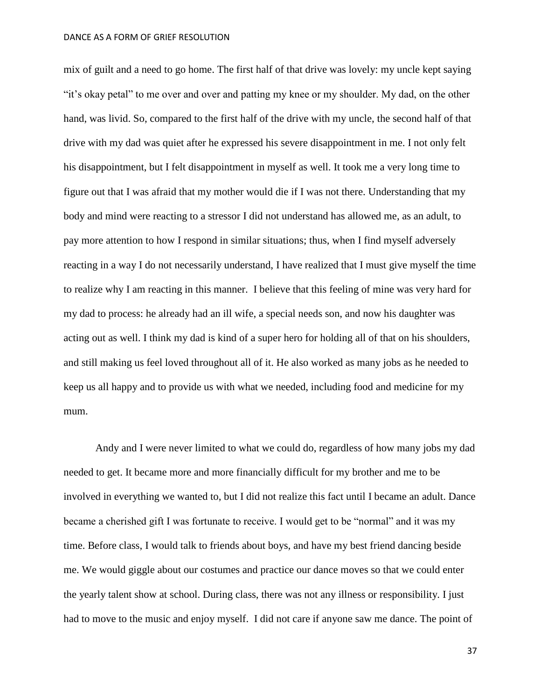mix of guilt and a need to go home. The first half of that drive was lovely: my uncle kept saying "it's okay petal" to me over and over and patting my knee or my shoulder. My dad, on the other hand, was livid. So, compared to the first half of the drive with my uncle, the second half of that drive with my dad was quiet after he expressed his severe disappointment in me. I not only felt his disappointment, but I felt disappointment in myself as well. It took me a very long time to figure out that I was afraid that my mother would die if I was not there. Understanding that my body and mind were reacting to a stressor I did not understand has allowed me, as an adult, to pay more attention to how I respond in similar situations; thus, when I find myself adversely reacting in a way I do not necessarily understand, I have realized that I must give myself the time to realize why I am reacting in this manner. I believe that this feeling of mine was very hard for my dad to process: he already had an ill wife, a special needs son, and now his daughter was acting out as well. I think my dad is kind of a super hero for holding all of that on his shoulders, and still making us feel loved throughout all of it. He also worked as many jobs as he needed to keep us all happy and to provide us with what we needed, including food and medicine for my mum.

Andy and I were never limited to what we could do, regardless of how many jobs my dad needed to get. It became more and more financially difficult for my brother and me to be involved in everything we wanted to, but I did not realize this fact until I became an adult. Dance became a cherished gift I was fortunate to receive. I would get to be "normal" and it was my time. Before class, I would talk to friends about boys, and have my best friend dancing beside me. We would giggle about our costumes and practice our dance moves so that we could enter the yearly talent show at school. During class, there was not any illness or responsibility. I just had to move to the music and enjoy myself. I did not care if anyone saw me dance. The point of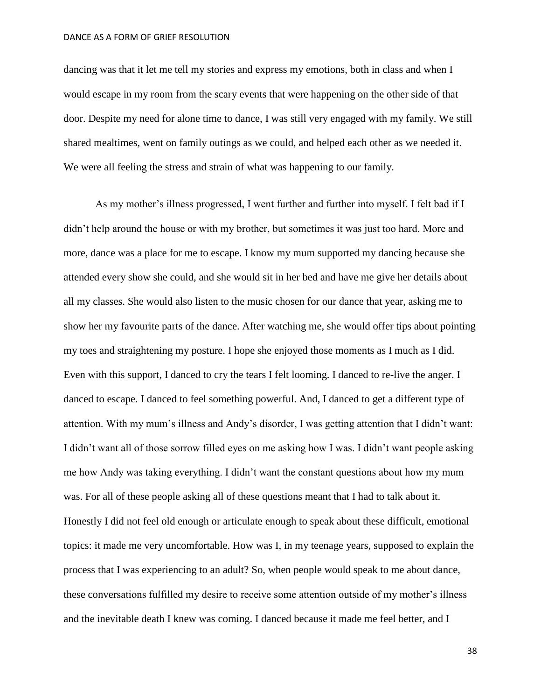dancing was that it let me tell my stories and express my emotions, both in class and when I would escape in my room from the scary events that were happening on the other side of that door. Despite my need for alone time to dance, I was still very engaged with my family. We still shared mealtimes, went on family outings as we could, and helped each other as we needed it. We were all feeling the stress and strain of what was happening to our family.

As my mother's illness progressed, I went further and further into myself. I felt bad if I didn't help around the house or with my brother, but sometimes it was just too hard. More and more, dance was a place for me to escape. I know my mum supported my dancing because she attended every show she could, and she would sit in her bed and have me give her details about all my classes. She would also listen to the music chosen for our dance that year, asking me to show her my favourite parts of the dance. After watching me, she would offer tips about pointing my toes and straightening my posture. I hope she enjoyed those moments as I much as I did. Even with this support, I danced to cry the tears I felt looming. I danced to re-live the anger. I danced to escape. I danced to feel something powerful. And, I danced to get a different type of attention. With my mum's illness and Andy's disorder, I was getting attention that I didn't want: I didn't want all of those sorrow filled eyes on me asking how I was. I didn't want people asking me how Andy was taking everything. I didn't want the constant questions about how my mum was. For all of these people asking all of these questions meant that I had to talk about it. Honestly I did not feel old enough or articulate enough to speak about these difficult, emotional topics: it made me very uncomfortable. How was I, in my teenage years, supposed to explain the process that I was experiencing to an adult? So, when people would speak to me about dance, these conversations fulfilled my desire to receive some attention outside of my mother's illness and the inevitable death I knew was coming. I danced because it made me feel better, and I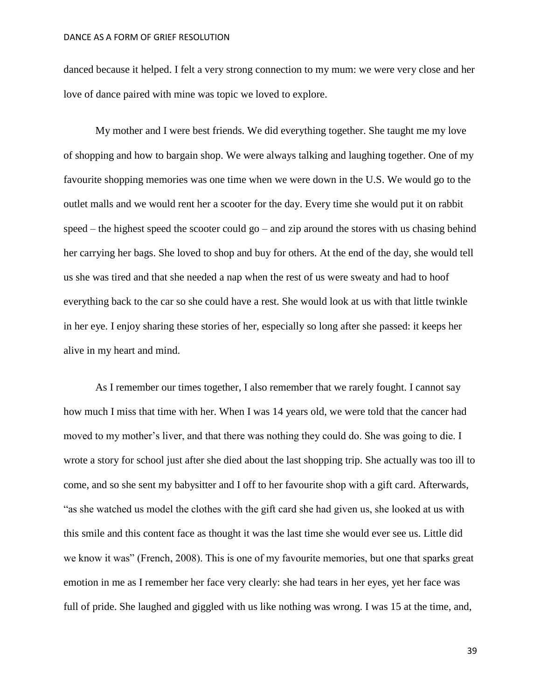danced because it helped. I felt a very strong connection to my mum: we were very close and her love of dance paired with mine was topic we loved to explore.

My mother and I were best friends. We did everything together. She taught me my love of shopping and how to bargain shop. We were always talking and laughing together. One of my favourite shopping memories was one time when we were down in the U.S. We would go to the outlet malls and we would rent her a scooter for the day. Every time she would put it on rabbit speed – the highest speed the scooter could  $\gamma$  and zip around the stores with us chasing behind her carrying her bags. She loved to shop and buy for others. At the end of the day, she would tell us she was tired and that she needed a nap when the rest of us were sweaty and had to hoof everything back to the car so she could have a rest. She would look at us with that little twinkle in her eye. I enjoy sharing these stories of her, especially so long after she passed: it keeps her alive in my heart and mind.

As I remember our times together, I also remember that we rarely fought. I cannot say how much I miss that time with her. When I was 14 years old, we were told that the cancer had moved to my mother's liver, and that there was nothing they could do. She was going to die. I wrote a story for school just after she died about the last shopping trip. She actually was too ill to come, and so she sent my babysitter and I off to her favourite shop with a gift card. Afterwards, "as she watched us model the clothes with the gift card she had given us, she looked at us with this smile and this content face as thought it was the last time she would ever see us. Little did we know it was" (French, 2008). This is one of my favourite memories, but one that sparks great emotion in me as I remember her face very clearly: she had tears in her eyes, yet her face was full of pride. She laughed and giggled with us like nothing was wrong. I was 15 at the time, and,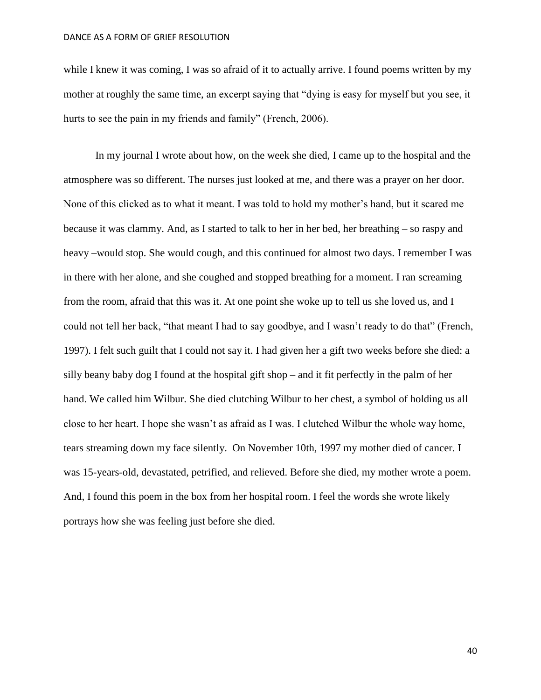while I knew it was coming, I was so afraid of it to actually arrive. I found poems written by my mother at roughly the same time, an excerpt saying that "dying is easy for myself but you see, it hurts to see the pain in my friends and family" (French, 2006).

In my journal I wrote about how, on the week she died, I came up to the hospital and the atmosphere was so different. The nurses just looked at me, and there was a prayer on her door. None of this clicked as to what it meant. I was told to hold my mother's hand, but it scared me because it was clammy. And, as I started to talk to her in her bed, her breathing – so raspy and heavy –would stop. She would cough, and this continued for almost two days. I remember I was in there with her alone, and she coughed and stopped breathing for a moment. I ran screaming from the room, afraid that this was it. At one point she woke up to tell us she loved us, and I could not tell her back, "that meant I had to say goodbye, and I wasn't ready to do that" (French, 1997). I felt such guilt that I could not say it. I had given her a gift two weeks before she died: a silly beany baby dog I found at the hospital gift shop – and it fit perfectly in the palm of her hand. We called him Wilbur. She died clutching Wilbur to her chest, a symbol of holding us all close to her heart. I hope she wasn't as afraid as I was. I clutched Wilbur the whole way home, tears streaming down my face silently. On November 10th, 1997 my mother died of cancer. I was 15-years-old, devastated, petrified, and relieved. Before she died, my mother wrote a poem. And, I found this poem in the box from her hospital room. I feel the words she wrote likely portrays how she was feeling just before she died.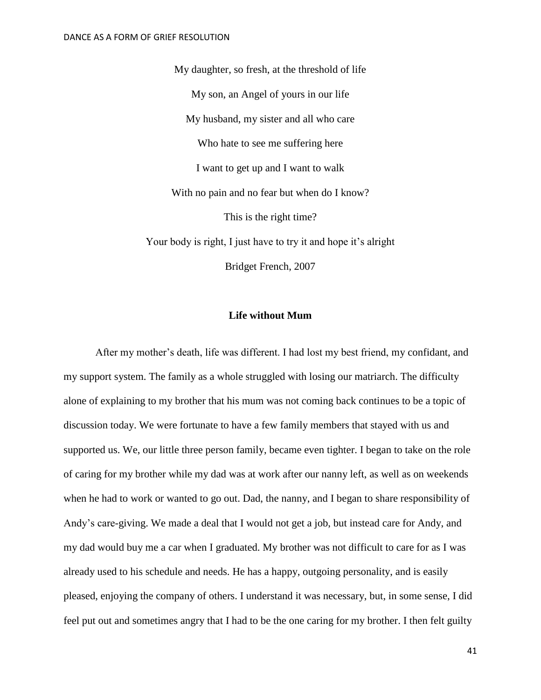My daughter, so fresh, at the threshold of life My son, an Angel of yours in our life My husband, my sister and all who care Who hate to see me suffering here I want to get up and I want to walk With no pain and no fear but when do I know? This is the right time? Your body is right, I just have to try it and hope it's alright Bridget French, 2007

# **Life without Mum**

After my mother's death, life was different. I had lost my best friend, my confidant, and my support system. The family as a whole struggled with losing our matriarch. The difficulty alone of explaining to my brother that his mum was not coming back continues to be a topic of discussion today. We were fortunate to have a few family members that stayed with us and supported us. We, our little three person family, became even tighter. I began to take on the role of caring for my brother while my dad was at work after our nanny left, as well as on weekends when he had to work or wanted to go out. Dad, the nanny, and I began to share responsibility of Andy's care-giving. We made a deal that I would not get a job, but instead care for Andy, and my dad would buy me a car when I graduated. My brother was not difficult to care for as I was already used to his schedule and needs. He has a happy, outgoing personality, and is easily pleased, enjoying the company of others. I understand it was necessary, but, in some sense, I did feel put out and sometimes angry that I had to be the one caring for my brother. I then felt guilty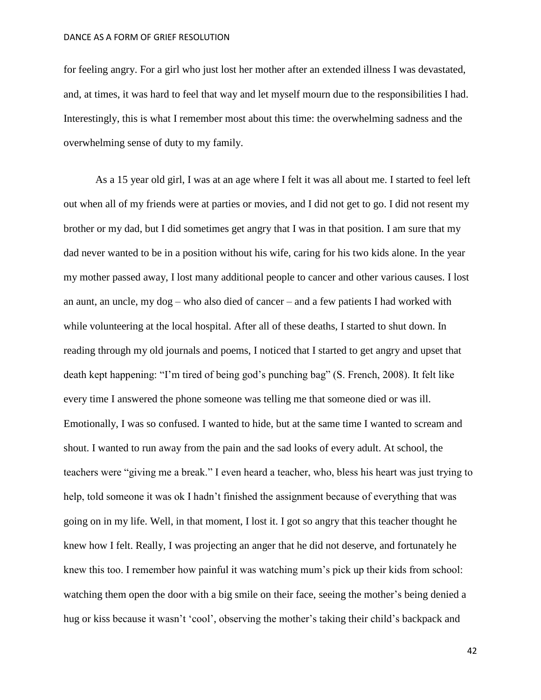for feeling angry. For a girl who just lost her mother after an extended illness I was devastated, and, at times, it was hard to feel that way and let myself mourn due to the responsibilities I had. Interestingly, this is what I remember most about this time: the overwhelming sadness and the overwhelming sense of duty to my family.

As a 15 year old girl, I was at an age where I felt it was all about me. I started to feel left out when all of my friends were at parties or movies, and I did not get to go. I did not resent my brother or my dad, but I did sometimes get angry that I was in that position. I am sure that my dad never wanted to be in a position without his wife, caring for his two kids alone. In the year my mother passed away, I lost many additional people to cancer and other various causes. I lost an aunt, an uncle, my dog – who also died of cancer – and a few patients I had worked with while volunteering at the local hospital. After all of these deaths, I started to shut down. In reading through my old journals and poems, I noticed that I started to get angry and upset that death kept happening: "I'm tired of being god's punching bag" (S. French, 2008). It felt like every time I answered the phone someone was telling me that someone died or was ill. Emotionally, I was so confused. I wanted to hide, but at the same time I wanted to scream and shout. I wanted to run away from the pain and the sad looks of every adult. At school, the teachers were "giving me a break." I even heard a teacher, who, bless his heart was just trying to help, told someone it was ok I hadn't finished the assignment because of everything that was going on in my life. Well, in that moment, I lost it. I got so angry that this teacher thought he knew how I felt. Really, I was projecting an anger that he did not deserve, and fortunately he knew this too. I remember how painful it was watching mum's pick up their kids from school: watching them open the door with a big smile on their face, seeing the mother's being denied a hug or kiss because it wasn't 'cool', observing the mother's taking their child's backpack and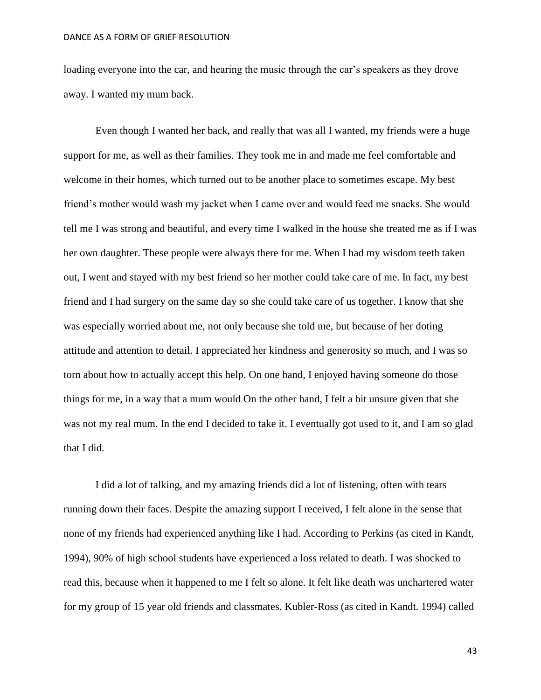loading everyone into the car, and hearing the music through the car's speakers as they drove away. I wanted my mum back.

Even though I wanted her back, and really that was all I wanted, my friends were a huge support for me, as well as their families. They took me in and made me feel comfortable and welcome in their homes, which turned out to be another place to sometimes escape. My best friend's mother would wash my jacket when I came over and would feed me snacks. She would tell me I was strong and beautiful, and every time I walked in the house she treated me as if I was her own daughter. These people were always there for me. When I had my wisdom teeth taken out, I went and stayed with my best friend so her mother could take care of me. In fact, my best friend and I had surgery on the same day so she could take care of us together. I know that she was especially worried about me, not only because she told me, but because of her doting attitude and attention to detail. I appreciated her kindness and generosity so much, and I was so torn about how to actually accept this help. On one hand, I enjoyed having someone do those things for me, in a way that a mum would On the other hand, I felt a bit unsure given that she was not my real mum. In the end I decided to take it. I eventually got used to it, and I am so glad that I did.

I did a lot of talking, and my amazing friends did a lot of listening, often with tears running down their faces. Despite the amazing support I received, I felt alone in the sense that none of my friends had experienced anything like I had. According to Perkins (as cited in Kandt, 1994), 90% of high school students have experienced a loss related to death. I was shocked to read this, because when it happened to me I felt so alone. It felt like death was unchartered water for my group of 15 year old friends and classmates. Kubler-Ross (as cited in Kandt. 1994) called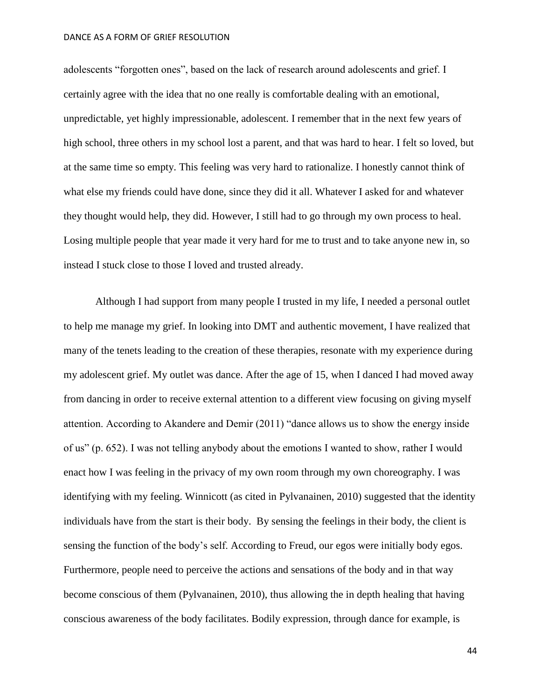adolescents "forgotten ones", based on the lack of research around adolescents and grief. I certainly agree with the idea that no one really is comfortable dealing with an emotional, unpredictable, yet highly impressionable, adolescent. I remember that in the next few years of high school, three others in my school lost a parent, and that was hard to hear. I felt so loved, but at the same time so empty. This feeling was very hard to rationalize. I honestly cannot think of what else my friends could have done, since they did it all. Whatever I asked for and whatever they thought would help, they did. However, I still had to go through my own process to heal. Losing multiple people that year made it very hard for me to trust and to take anyone new in, so instead I stuck close to those I loved and trusted already.

Although I had support from many people I trusted in my life, I needed a personal outlet to help me manage my grief. In looking into DMT and authentic movement, I have realized that many of the tenets leading to the creation of these therapies, resonate with my experience during my adolescent grief. My outlet was dance. After the age of 15, when I danced I had moved away from dancing in order to receive external attention to a different view focusing on giving myself attention. According to Akandere and Demir (2011) "dance allows us to show the energy inside of us" (p. 652). I was not telling anybody about the emotions I wanted to show, rather I would enact how I was feeling in the privacy of my own room through my own choreography. I was identifying with my feeling. Winnicott (as cited in Pylvanainen, 2010) suggested that the identity individuals have from the start is their body. By sensing the feelings in their body, the client is sensing the function of the body's self. According to Freud, our egos were initially body egos. Furthermore, people need to perceive the actions and sensations of the body and in that way become conscious of them (Pylvanainen, 2010), thus allowing the in depth healing that having conscious awareness of the body facilitates. Bodily expression, through dance for example, is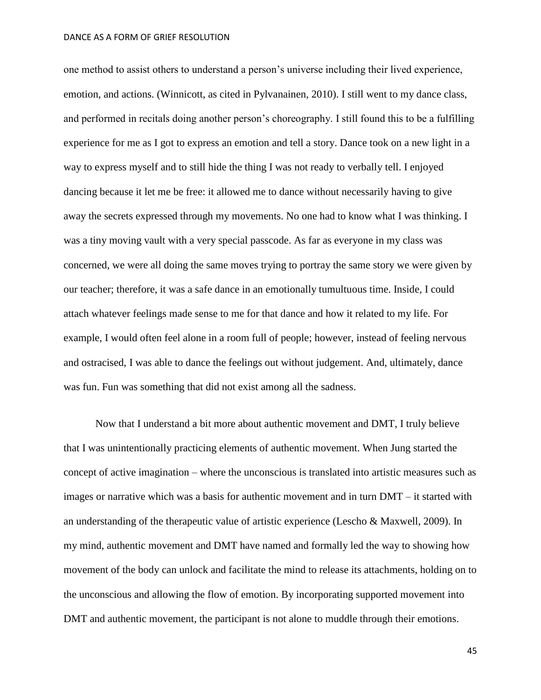one method to assist others to understand a person's universe including their lived experience, emotion, and actions. (Winnicott, as cited in Pylvanainen, 2010). I still went to my dance class, and performed in recitals doing another person's choreography. I still found this to be a fulfilling experience for me as I got to express an emotion and tell a story. Dance took on a new light in a way to express myself and to still hide the thing I was not ready to verbally tell. I enjoyed dancing because it let me be free: it allowed me to dance without necessarily having to give away the secrets expressed through my movements. No one had to know what I was thinking. I was a tiny moving vault with a very special passcode. As far as everyone in my class was concerned, we were all doing the same moves trying to portray the same story we were given by our teacher; therefore, it was a safe dance in an emotionally tumultuous time. Inside, I could attach whatever feelings made sense to me for that dance and how it related to my life. For example, I would often feel alone in a room full of people; however, instead of feeling nervous and ostracised, I was able to dance the feelings out without judgement. And, ultimately, dance was fun. Fun was something that did not exist among all the sadness.

Now that I understand a bit more about authentic movement and DMT, I truly believe that I was unintentionally practicing elements of authentic movement. When Jung started the concept of active imagination – where the unconscious is translated into artistic measures such as images or narrative which was a basis for authentic movement and in turn DMT – it started with an understanding of the therapeutic value of artistic experience (Lescho & Maxwell, 2009). In my mind, authentic movement and DMT have named and formally led the way to showing how movement of the body can unlock and facilitate the mind to release its attachments, holding on to the unconscious and allowing the flow of emotion. By incorporating supported movement into DMT and authentic movement, the participant is not alone to muddle through their emotions.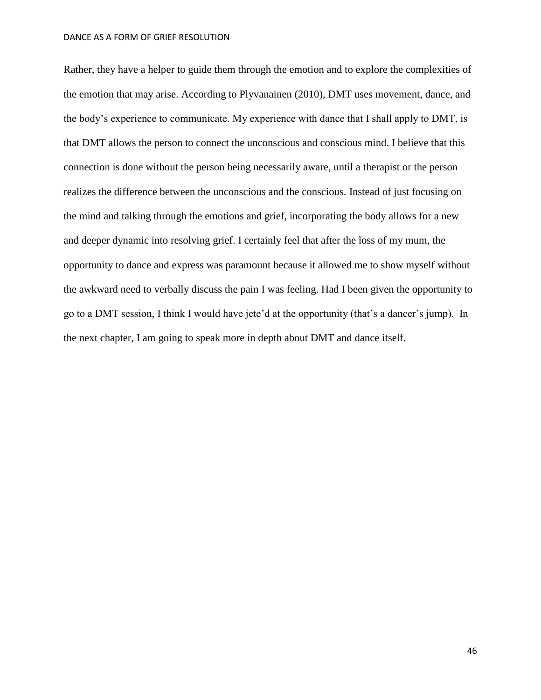Rather, they have a helper to guide them through the emotion and to explore the complexities of the emotion that may arise. According to Plyvanainen (2010), DMT uses movement, dance, and the body's experience to communicate. My experience with dance that I shall apply to DMT, is that DMT allows the person to connect the unconscious and conscious mind. I believe that this connection is done without the person being necessarily aware, until a therapist or the person realizes the difference between the unconscious and the conscious. Instead of just focusing on the mind and talking through the emotions and grief, incorporating the body allows for a new and deeper dynamic into resolving grief. I certainly feel that after the loss of my mum, the opportunity to dance and express was paramount because it allowed me to show myself without the awkward need to verbally discuss the pain I was feeling. Had I been given the opportunity to go to a DMT session, I think I would have jete'd at the opportunity (that's a dancer's jump). In the next chapter, I am going to speak more in depth about DMT and dance itself.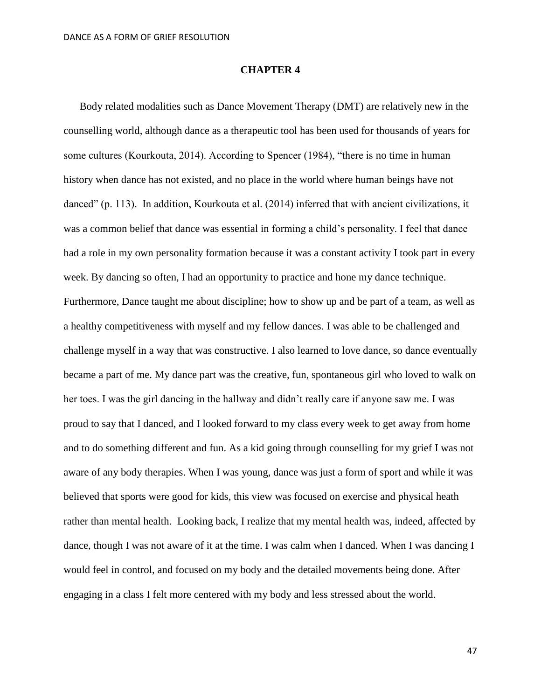## **CHAPTER 4**

Body related modalities such as Dance Movement Therapy (DMT) are relatively new in the counselling world, although dance as a therapeutic tool has been used for thousands of years for some cultures (Kourkouta, 2014). According to Spencer (1984), "there is no time in human history when dance has not existed, and no place in the world where human beings have not danced" (p. 113). In addition, Kourkouta et al. (2014) inferred that with ancient civilizations, it was a common belief that dance was essential in forming a child's personality. I feel that dance had a role in my own personality formation because it was a constant activity I took part in every week. By dancing so often, I had an opportunity to practice and hone my dance technique. Furthermore, Dance taught me about discipline; how to show up and be part of a team, as well as a healthy competitiveness with myself and my fellow dances. I was able to be challenged and challenge myself in a way that was constructive. I also learned to love dance, so dance eventually became a part of me. My dance part was the creative, fun, spontaneous girl who loved to walk on her toes. I was the girl dancing in the hallway and didn't really care if anyone saw me. I was proud to say that I danced, and I looked forward to my class every week to get away from home and to do something different and fun. As a kid going through counselling for my grief I was not aware of any body therapies. When I was young, dance was just a form of sport and while it was believed that sports were good for kids, this view was focused on exercise and physical heath rather than mental health. Looking back, I realize that my mental health was, indeed, affected by dance, though I was not aware of it at the time. I was calm when I danced. When I was dancing I would feel in control, and focused on my body and the detailed movements being done. After engaging in a class I felt more centered with my body and less stressed about the world.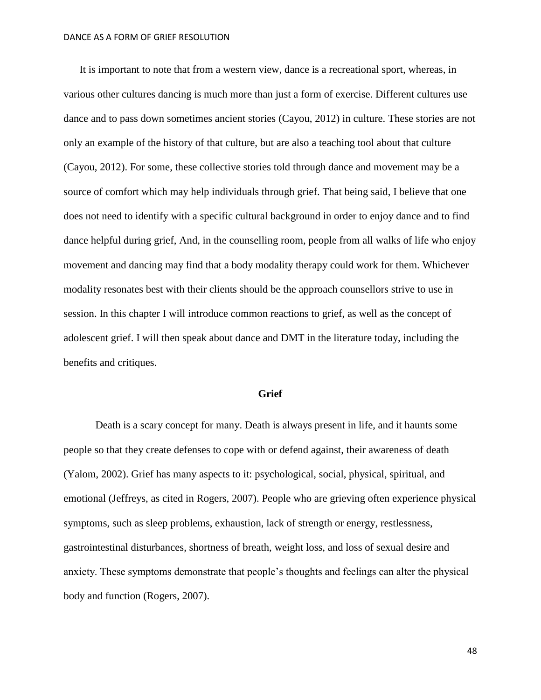It is important to note that from a western view, dance is a recreational sport, whereas, in various other cultures dancing is much more than just a form of exercise. Different cultures use dance and to pass down sometimes ancient stories (Cayou, 2012) in culture. These stories are not only an example of the history of that culture, but are also a teaching tool about that culture (Cayou, 2012). For some, these collective stories told through dance and movement may be a source of comfort which may help individuals through grief. That being said, I believe that one does not need to identify with a specific cultural background in order to enjoy dance and to find dance helpful during grief, And, in the counselling room, people from all walks of life who enjoy movement and dancing may find that a body modality therapy could work for them. Whichever modality resonates best with their clients should be the approach counsellors strive to use in session. In this chapter I will introduce common reactions to grief, as well as the concept of adolescent grief. I will then speak about dance and DMT in the literature today, including the benefits and critiques.

### **Grief**

Death is a scary concept for many. Death is always present in life, and it haunts some people so that they create defenses to cope with or defend against, their awareness of death (Yalom, 2002). Grief has many aspects to it: psychological, social, physical, spiritual, and emotional (Jeffreys, as cited in Rogers, 2007). People who are grieving often experience physical symptoms, such as sleep problems, exhaustion, lack of strength or energy, restlessness, gastrointestinal disturbances, shortness of breath, weight loss, and loss of sexual desire and anxiety. These symptoms demonstrate that people's thoughts and feelings can alter the physical body and function (Rogers, 2007).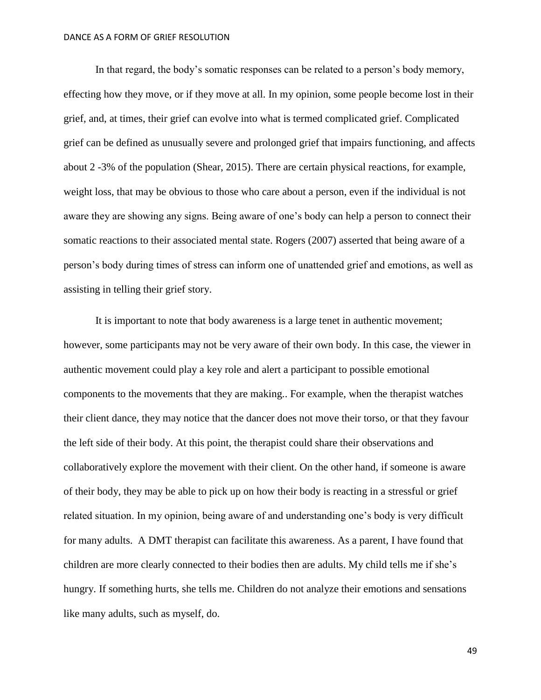In that regard, the body's somatic responses can be related to a person's body memory, effecting how they move, or if they move at all. In my opinion, some people become lost in their grief, and, at times, their grief can evolve into what is termed complicated grief. Complicated grief can be defined as unusually severe and prolonged grief that impairs functioning, and affects about 2 -3% of the population (Shear, 2015). There are certain physical reactions, for example, weight loss, that may be obvious to those who care about a person, even if the individual is not aware they are showing any signs. Being aware of one's body can help a person to connect their somatic reactions to their associated mental state. Rogers (2007) asserted that being aware of a person's body during times of stress can inform one of unattended grief and emotions, as well as assisting in telling their grief story.

It is important to note that body awareness is a large tenet in authentic movement; however, some participants may not be very aware of their own body. In this case, the viewer in authentic movement could play a key role and alert a participant to possible emotional components to the movements that they are making.. For example, when the therapist watches their client dance, they may notice that the dancer does not move their torso, or that they favour the left side of their body. At this point, the therapist could share their observations and collaboratively explore the movement with their client. On the other hand, if someone is aware of their body, they may be able to pick up on how their body is reacting in a stressful or grief related situation. In my opinion, being aware of and understanding one's body is very difficult for many adults. A DMT therapist can facilitate this awareness. As a parent, I have found that children are more clearly connected to their bodies then are adults. My child tells me if she's hungry. If something hurts, she tells me. Children do not analyze their emotions and sensations like many adults, such as myself, do.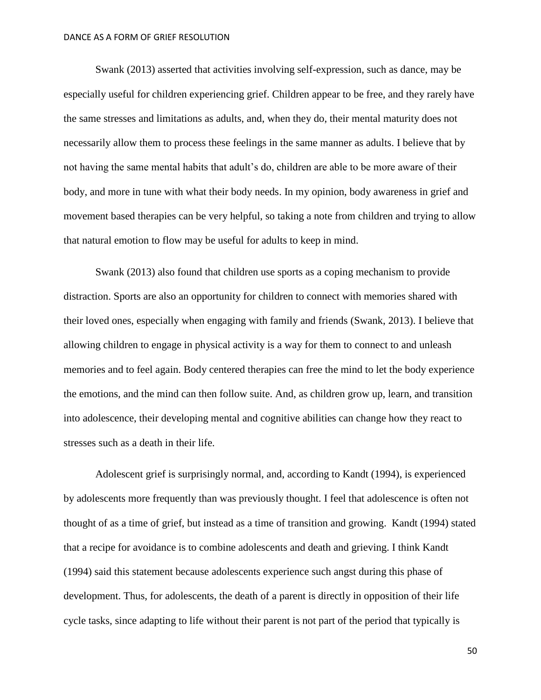Swank (2013) asserted that activities involving self-expression, such as dance, may be especially useful for children experiencing grief. Children appear to be free, and they rarely have the same stresses and limitations as adults, and, when they do, their mental maturity does not necessarily allow them to process these feelings in the same manner as adults. I believe that by not having the same mental habits that adult's do, children are able to be more aware of their body, and more in tune with what their body needs. In my opinion, body awareness in grief and movement based therapies can be very helpful, so taking a note from children and trying to allow that natural emotion to flow may be useful for adults to keep in mind.

Swank (2013) also found that children use sports as a coping mechanism to provide distraction. Sports are also an opportunity for children to connect with memories shared with their loved ones, especially when engaging with family and friends (Swank, 2013). I believe that allowing children to engage in physical activity is a way for them to connect to and unleash memories and to feel again. Body centered therapies can free the mind to let the body experience the emotions, and the mind can then follow suite. And, as children grow up, learn, and transition into adolescence, their developing mental and cognitive abilities can change how they react to stresses such as a death in their life.

Adolescent grief is surprisingly normal, and, according to Kandt (1994), is experienced by adolescents more frequently than was previously thought. I feel that adolescence is often not thought of as a time of grief, but instead as a time of transition and growing. Kandt (1994) stated that a recipe for avoidance is to combine adolescents and death and grieving. I think Kandt (1994) said this statement because adolescents experience such angst during this phase of development. Thus, for adolescents, the death of a parent is directly in opposition of their life cycle tasks, since adapting to life without their parent is not part of the period that typically is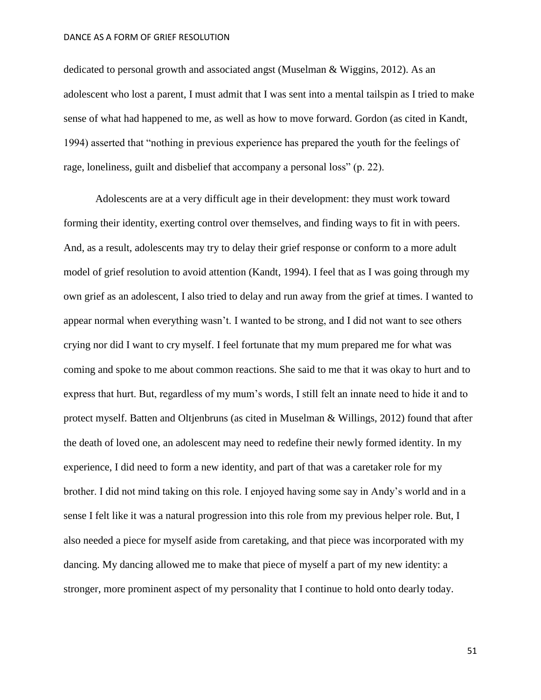dedicated to personal growth and associated angst (Muselman & Wiggins, 2012). As an adolescent who lost a parent, I must admit that I was sent into a mental tailspin as I tried to make sense of what had happened to me, as well as how to move forward. Gordon (as cited in Kandt, 1994) asserted that "nothing in previous experience has prepared the youth for the feelings of rage, loneliness, guilt and disbelief that accompany a personal loss" (p. 22).

Adolescents are at a very difficult age in their development: they must work toward forming their identity, exerting control over themselves, and finding ways to fit in with peers. And, as a result, adolescents may try to delay their grief response or conform to a more adult model of grief resolution to avoid attention (Kandt, 1994). I feel that as I was going through my own grief as an adolescent, I also tried to delay and run away from the grief at times. I wanted to appear normal when everything wasn't. I wanted to be strong, and I did not want to see others crying nor did I want to cry myself. I feel fortunate that my mum prepared me for what was coming and spoke to me about common reactions. She said to me that it was okay to hurt and to express that hurt. But, regardless of my mum's words, I still felt an innate need to hide it and to protect myself. Batten and Oltjenbruns (as cited in Muselman & Willings, 2012) found that after the death of loved one, an adolescent may need to redefine their newly formed identity. In my experience, I did need to form a new identity, and part of that was a caretaker role for my brother. I did not mind taking on this role. I enjoyed having some say in Andy's world and in a sense I felt like it was a natural progression into this role from my previous helper role. But, I also needed a piece for myself aside from caretaking, and that piece was incorporated with my dancing. My dancing allowed me to make that piece of myself a part of my new identity: a stronger, more prominent aspect of my personality that I continue to hold onto dearly today.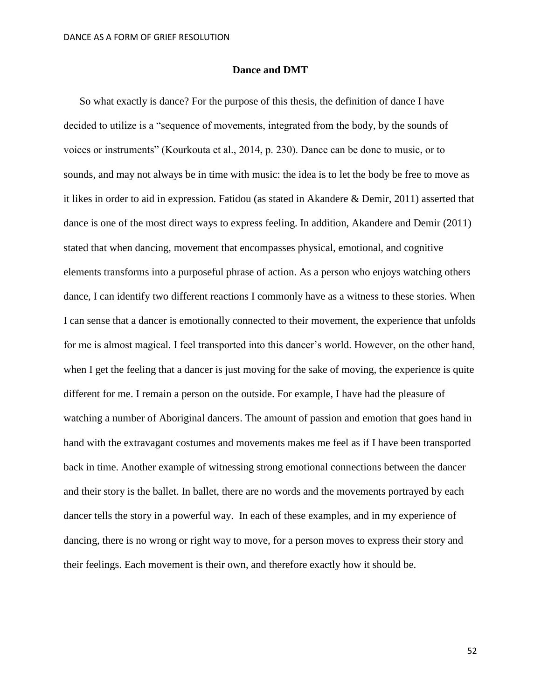## **Dance and DMT**

So what exactly is dance? For the purpose of this thesis, the definition of dance I have decided to utilize is a "sequence of movements, integrated from the body, by the sounds of voices or instruments" (Kourkouta et al., 2014, p. 230). Dance can be done to music, or to sounds, and may not always be in time with music: the idea is to let the body be free to move as it likes in order to aid in expression. Fatidou (as stated in Akandere & Demir, 2011) asserted that dance is one of the most direct ways to express feeling. In addition, Akandere and Demir (2011) stated that when dancing, movement that encompasses physical, emotional, and cognitive elements transforms into a purposeful phrase of action. As a person who enjoys watching others dance, I can identify two different reactions I commonly have as a witness to these stories. When I can sense that a dancer is emotionally connected to their movement, the experience that unfolds for me is almost magical. I feel transported into this dancer's world. However, on the other hand, when I get the feeling that a dancer is just moving for the sake of moving, the experience is quite different for me. I remain a person on the outside. For example, I have had the pleasure of watching a number of Aboriginal dancers. The amount of passion and emotion that goes hand in hand with the extravagant costumes and movements makes me feel as if I have been transported back in time. Another example of witnessing strong emotional connections between the dancer and their story is the ballet. In ballet, there are no words and the movements portrayed by each dancer tells the story in a powerful way. In each of these examples, and in my experience of dancing, there is no wrong or right way to move, for a person moves to express their story and their feelings. Each movement is their own, and therefore exactly how it should be.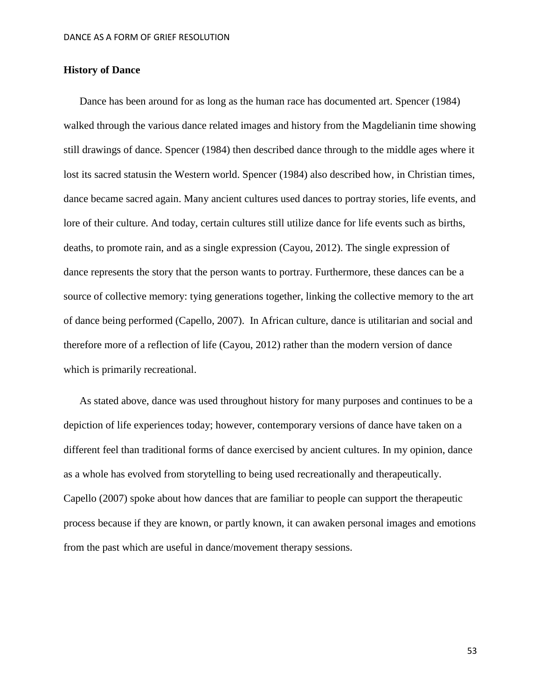## **History of Dance**

Dance has been around for as long as the human race has documented art. Spencer (1984) walked through the various dance related images and history from the Magdelianin time showing still drawings of dance. Spencer (1984) then described dance through to the middle ages where it lost its sacred statusin the Western world. Spencer (1984) also described how, in Christian times, dance became sacred again. Many ancient cultures used dances to portray stories, life events, and lore of their culture. And today, certain cultures still utilize dance for life events such as births, deaths, to promote rain, and as a single expression (Cayou, 2012). The single expression of dance represents the story that the person wants to portray. Furthermore, these dances can be a source of collective memory: tying generations together, linking the collective memory to the art of dance being performed (Capello, 2007). In African culture, dance is utilitarian and social and therefore more of a reflection of life (Cayou, 2012) rather than the modern version of dance which is primarily recreational.

As stated above, dance was used throughout history for many purposes and continues to be a depiction of life experiences today; however, contemporary versions of dance have taken on a different feel than traditional forms of dance exercised by ancient cultures. In my opinion, dance as a whole has evolved from storytelling to being used recreationally and therapeutically. Capello (2007) spoke about how dances that are familiar to people can support the therapeutic process because if they are known, or partly known, it can awaken personal images and emotions from the past which are useful in dance/movement therapy sessions.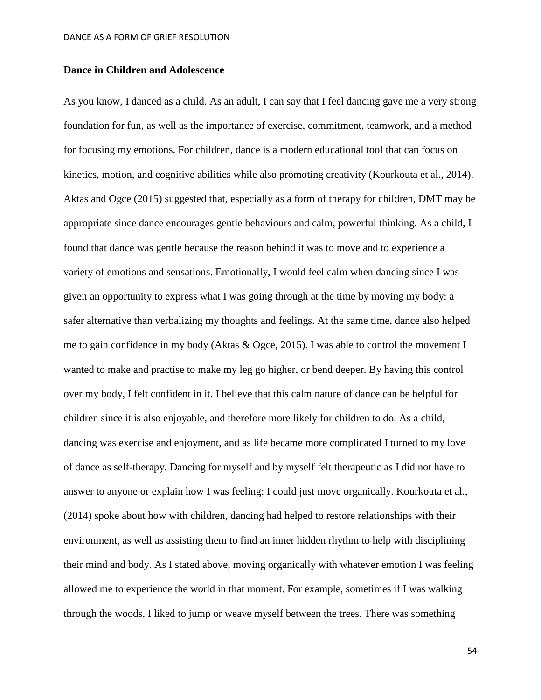# **Dance in Children and Adolescence**

As you know, I danced as a child. As an adult, I can say that I feel dancing gave me a very strong foundation for fun, as well as the importance of exercise, commitment, teamwork, and a method for focusing my emotions. For children, dance is a modern educational tool that can focus on kinetics, motion, and cognitive abilities while also promoting creativity (Kourkouta et al., 2014). Aktas and Ogce (2015) suggested that, especially as a form of therapy for children, DMT may be appropriate since dance encourages gentle behaviours and calm, powerful thinking. As a child, I found that dance was gentle because the reason behind it was to move and to experience a variety of emotions and sensations. Emotionally, I would feel calm when dancing since I was given an opportunity to express what I was going through at the time by moving my body: a safer alternative than verbalizing my thoughts and feelings. At the same time, dance also helped me to gain confidence in my body (Aktas & Ogce, 2015). I was able to control the movement I wanted to make and practise to make my leg go higher, or bend deeper. By having this control over my body, I felt confident in it. I believe that this calm nature of dance can be helpful for children since it is also enjoyable, and therefore more likely for children to do. As a child, dancing was exercise and enjoyment, and as life became more complicated I turned to my love of dance as self-therapy. Dancing for myself and by myself felt therapeutic as I did not have to answer to anyone or explain how I was feeling: I could just move organically. Kourkouta et al., (2014) spoke about how with children, dancing had helped to restore relationships with their environment, as well as assisting them to find an inner hidden rhythm to help with disciplining their mind and body. As I stated above, moving organically with whatever emotion I was feeling allowed me to experience the world in that moment. For example, sometimes if I was walking through the woods, I liked to jump or weave myself between the trees. There was something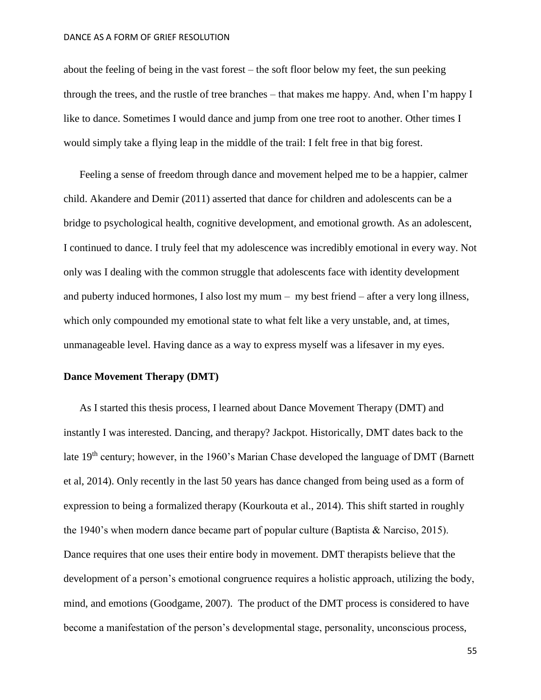about the feeling of being in the vast forest – the soft floor below my feet, the sun peeking through the trees, and the rustle of tree branches – that makes me happy. And, when I'm happy I like to dance. Sometimes I would dance and jump from one tree root to another. Other times I would simply take a flying leap in the middle of the trail: I felt free in that big forest.

Feeling a sense of freedom through dance and movement helped me to be a happier, calmer child. Akandere and Demir (2011) asserted that dance for children and adolescents can be a bridge to psychological health, cognitive development, and emotional growth. As an adolescent, I continued to dance. I truly feel that my adolescence was incredibly emotional in every way. Not only was I dealing with the common struggle that adolescents face with identity development and puberty induced hormones, I also lost my mum – my best friend – after a very long illness, which only compounded my emotional state to what felt like a very unstable, and, at times, unmanageable level. Having dance as a way to express myself was a lifesaver in my eyes.

## **Dance Movement Therapy (DMT)**

As I started this thesis process, I learned about Dance Movement Therapy (DMT) and instantly I was interested. Dancing, and therapy? Jackpot. Historically, DMT dates back to the late 19<sup>th</sup> century; however, in the 1960's Marian Chase developed the language of DMT (Barnett et al, 2014). Only recently in the last 50 years has dance changed from being used as a form of expression to being a formalized therapy (Kourkouta et al., 2014). This shift started in roughly the 1940's when modern dance became part of popular culture (Baptista & Narciso, 2015). Dance requires that one uses their entire body in movement. DMT therapists believe that the development of a person's emotional congruence requires a holistic approach, utilizing the body, mind, and emotions (Goodgame, 2007). The product of the DMT process is considered to have become a manifestation of the person's developmental stage, personality, unconscious process,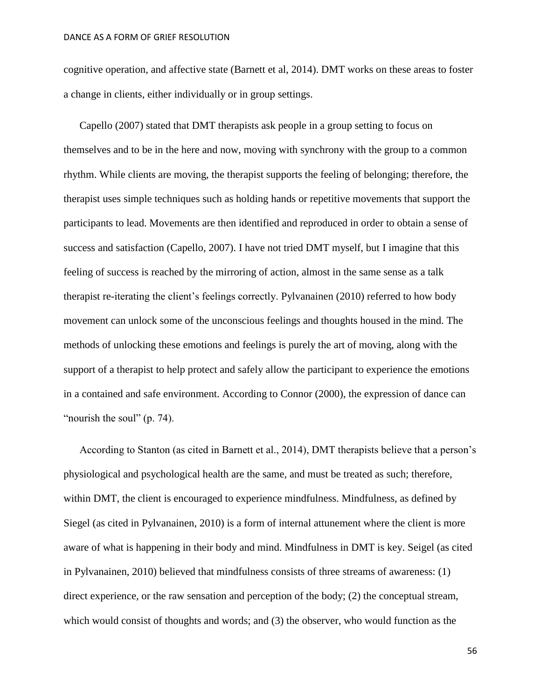cognitive operation, and affective state (Barnett et al, 2014). DMT works on these areas to foster a change in clients, either individually or in group settings.

Capello (2007) stated that DMT therapists ask people in a group setting to focus on themselves and to be in the here and now, moving with synchrony with the group to a common rhythm. While clients are moving, the therapist supports the feeling of belonging; therefore, the therapist uses simple techniques such as holding hands or repetitive movements that support the participants to lead. Movements are then identified and reproduced in order to obtain a sense of success and satisfaction (Capello, 2007). I have not tried DMT myself, but I imagine that this feeling of success is reached by the mirroring of action, almost in the same sense as a talk therapist re-iterating the client's feelings correctly. Pylvanainen (2010) referred to how body movement can unlock some of the unconscious feelings and thoughts housed in the mind. The methods of unlocking these emotions and feelings is purely the art of moving, along with the support of a therapist to help protect and safely allow the participant to experience the emotions in a contained and safe environment. According to Connor (2000), the expression of dance can "nourish the soul" (p. 74).

According to Stanton (as cited in Barnett et al., 2014), DMT therapists believe that a person's physiological and psychological health are the same, and must be treated as such; therefore, within DMT, the client is encouraged to experience mindfulness. Mindfulness, as defined by Siegel (as cited in Pylvanainen, 2010) is a form of internal attunement where the client is more aware of what is happening in their body and mind. Mindfulness in DMT is key. Seigel (as cited in Pylvanainen, 2010) believed that mindfulness consists of three streams of awareness: (1) direct experience, or the raw sensation and perception of the body; (2) the conceptual stream, which would consist of thoughts and words; and (3) the observer, who would function as the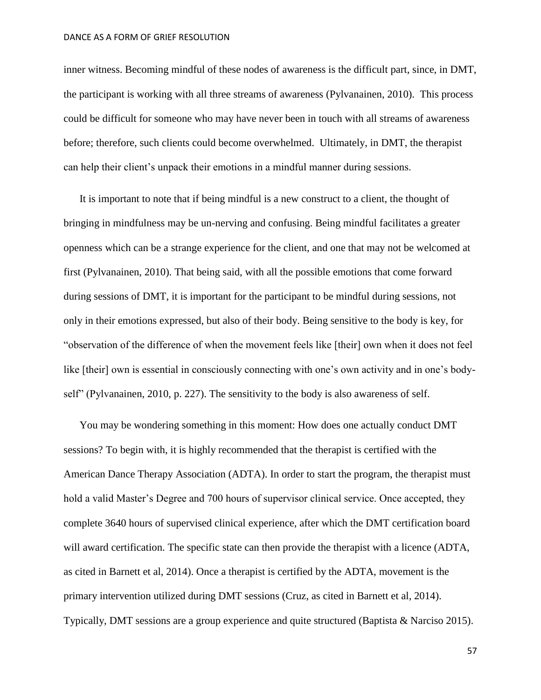inner witness. Becoming mindful of these nodes of awareness is the difficult part, since, in DMT, the participant is working with all three streams of awareness (Pylvanainen, 2010). This process could be difficult for someone who may have never been in touch with all streams of awareness before; therefore, such clients could become overwhelmed. Ultimately, in DMT, the therapist can help their client's unpack their emotions in a mindful manner during sessions.

It is important to note that if being mindful is a new construct to a client, the thought of bringing in mindfulness may be un-nerving and confusing. Being mindful facilitates a greater openness which can be a strange experience for the client, and one that may not be welcomed at first (Pylvanainen, 2010). That being said, with all the possible emotions that come forward during sessions of DMT, it is important for the participant to be mindful during sessions, not only in their emotions expressed, but also of their body. Being sensitive to the body is key, for "observation of the difference of when the movement feels like [their] own when it does not feel like [their] own is essential in consciously connecting with one's own activity and in one's bodyself" (Pylvanainen, 2010, p. 227). The sensitivity to the body is also awareness of self.

You may be wondering something in this moment: How does one actually conduct DMT sessions? To begin with, it is highly recommended that the therapist is certified with the American Dance Therapy Association (ADTA). In order to start the program, the therapist must hold a valid Master's Degree and 700 hours of supervisor clinical service. Once accepted, they complete 3640 hours of supervised clinical experience, after which the DMT certification board will award certification. The specific state can then provide the therapist with a licence (ADTA, as cited in Barnett et al, 2014). Once a therapist is certified by the ADTA, movement is the primary intervention utilized during DMT sessions (Cruz, as cited in Barnett et al, 2014). Typically, DMT sessions are a group experience and quite structured (Baptista & Narciso 2015).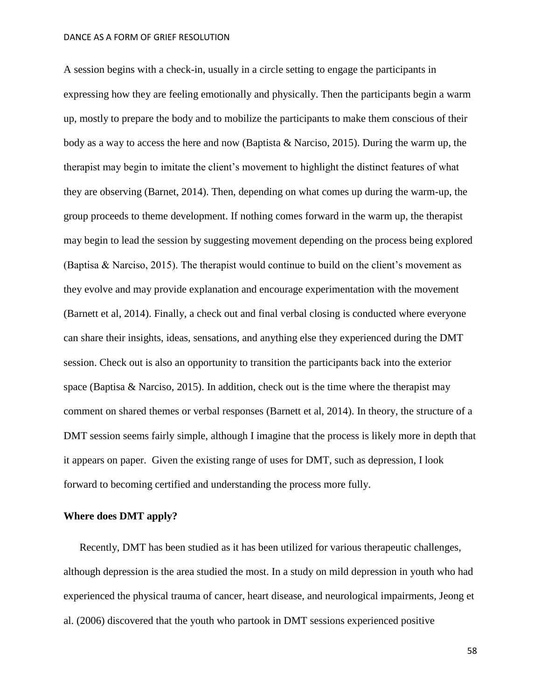A session begins with a check-in, usually in a circle setting to engage the participants in expressing how they are feeling emotionally and physically. Then the participants begin a warm up, mostly to prepare the body and to mobilize the participants to make them conscious of their body as a way to access the here and now (Baptista & Narciso, 2015). During the warm up, the therapist may begin to imitate the client's movement to highlight the distinct features of what they are observing (Barnet, 2014). Then, depending on what comes up during the warm-up, the group proceeds to theme development. If nothing comes forward in the warm up, the therapist may begin to lead the session by suggesting movement depending on the process being explored (Baptisa & Narciso, 2015). The therapist would continue to build on the client's movement as they evolve and may provide explanation and encourage experimentation with the movement (Barnett et al, 2014). Finally, a check out and final verbal closing is conducted where everyone can share their insights, ideas, sensations, and anything else they experienced during the DMT session. Check out is also an opportunity to transition the participants back into the exterior space (Baptisa & Narciso, 2015). In addition, check out is the time where the therapist may comment on shared themes or verbal responses (Barnett et al, 2014). In theory, the structure of a DMT session seems fairly simple, although I imagine that the process is likely more in depth that it appears on paper. Given the existing range of uses for DMT, such as depression, I look forward to becoming certified and understanding the process more fully.

# **Where does DMT apply?**

Recently, DMT has been studied as it has been utilized for various therapeutic challenges, although depression is the area studied the most. In a study on mild depression in youth who had experienced the physical trauma of cancer, heart disease, and neurological impairments, Jeong et al. (2006) discovered that the youth who partook in DMT sessions experienced positive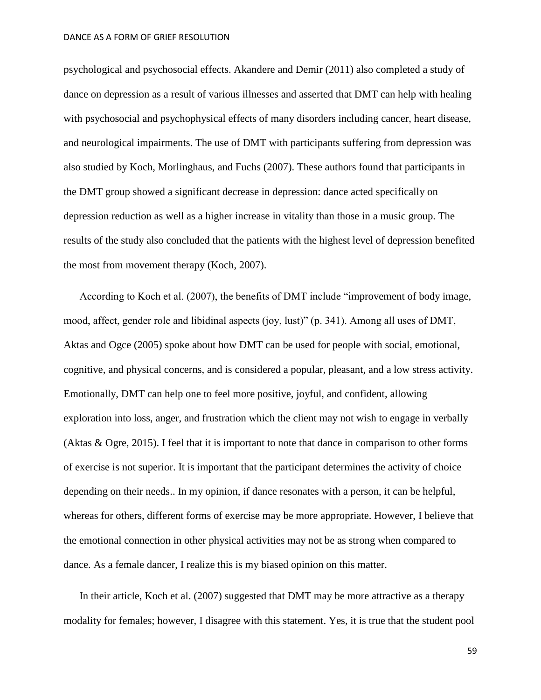psychological and psychosocial effects. Akandere and Demir (2011) also completed a study of dance on depression as a result of various illnesses and asserted that DMT can help with healing with psychosocial and psychophysical effects of many disorders including cancer, heart disease, and neurological impairments. The use of DMT with participants suffering from depression was also studied by Koch, Morlinghaus, and Fuchs (2007). These authors found that participants in the DMT group showed a significant decrease in depression: dance acted specifically on depression reduction as well as a higher increase in vitality than those in a music group. The results of the study also concluded that the patients with the highest level of depression benefited the most from movement therapy (Koch, 2007).

According to Koch et al. (2007), the benefits of DMT include "improvement of body image, mood, affect, gender role and libidinal aspects (joy, lust)" (p. 341). Among all uses of DMT, Aktas and Ogce (2005) spoke about how DMT can be used for people with social, emotional, cognitive, and physical concerns, and is considered a popular, pleasant, and a low stress activity. Emotionally, DMT can help one to feel more positive, joyful, and confident, allowing exploration into loss, anger, and frustration which the client may not wish to engage in verbally (Aktas & Ogre, 2015). I feel that it is important to note that dance in comparison to other forms of exercise is not superior. It is important that the participant determines the activity of choice depending on their needs.. In my opinion, if dance resonates with a person, it can be helpful, whereas for others, different forms of exercise may be more appropriate. However, I believe that the emotional connection in other physical activities may not be as strong when compared to dance. As a female dancer, I realize this is my biased opinion on this matter.

In their article, Koch et al. (2007) suggested that DMT may be more attractive as a therapy modality for females; however, I disagree with this statement. Yes, it is true that the student pool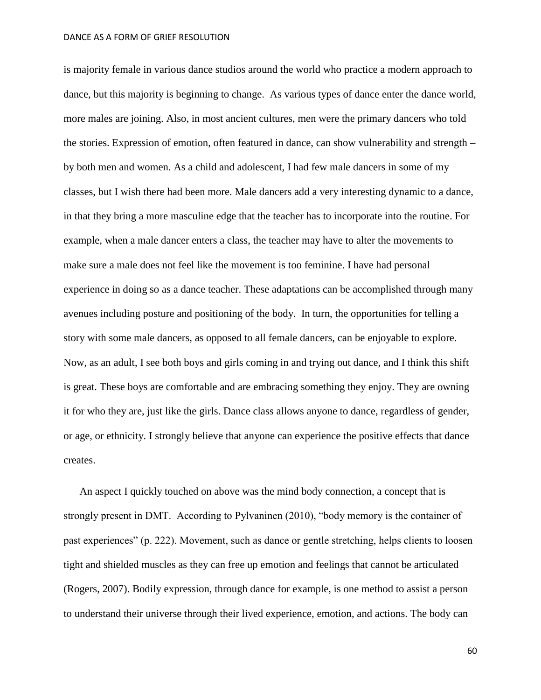is majority female in various dance studios around the world who practice a modern approach to dance, but this majority is beginning to change. As various types of dance enter the dance world, more males are joining. Also, in most ancient cultures, men were the primary dancers who told the stories. Expression of emotion, often featured in dance, can show vulnerability and strength – by both men and women. As a child and adolescent, I had few male dancers in some of my classes, but I wish there had been more. Male dancers add a very interesting dynamic to a dance, in that they bring a more masculine edge that the teacher has to incorporate into the routine. For example, when a male dancer enters a class, the teacher may have to alter the movements to make sure a male does not feel like the movement is too feminine. I have had personal experience in doing so as a dance teacher. These adaptations can be accomplished through many avenues including posture and positioning of the body. In turn, the opportunities for telling a story with some male dancers, as opposed to all female dancers, can be enjoyable to explore. Now, as an adult, I see both boys and girls coming in and trying out dance, and I think this shift is great. These boys are comfortable and are embracing something they enjoy. They are owning it for who they are, just like the girls. Dance class allows anyone to dance, regardless of gender, or age, or ethnicity. I strongly believe that anyone can experience the positive effects that dance creates.

An aspect I quickly touched on above was the mind body connection, a concept that is strongly present in DMT. According to Pylvaninen (2010), "body memory is the container of past experiences" (p. 222). Movement, such as dance or gentle stretching, helps clients to loosen tight and shielded muscles as they can free up emotion and feelings that cannot be articulated (Rogers, 2007). Bodily expression, through dance for example, is one method to assist a person to understand their universe through their lived experience, emotion, and actions. The body can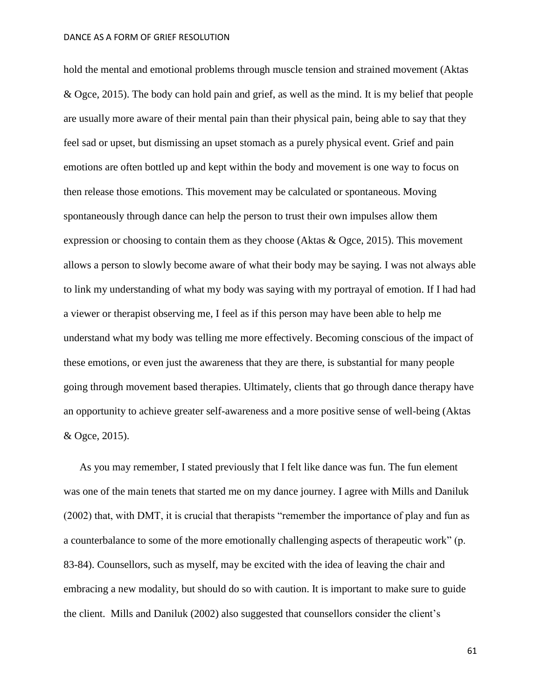hold the mental and emotional problems through muscle tension and strained movement (Aktas & Ogce, 2015). The body can hold pain and grief, as well as the mind. It is my belief that people are usually more aware of their mental pain than their physical pain, being able to say that they feel sad or upset, but dismissing an upset stomach as a purely physical event. Grief and pain emotions are often bottled up and kept within the body and movement is one way to focus on then release those emotions. This movement may be calculated or spontaneous. Moving spontaneously through dance can help the person to trust their own impulses allow them expression or choosing to contain them as they choose (Aktas & Ogce, 2015). This movement allows a person to slowly become aware of what their body may be saying. I was not always able to link my understanding of what my body was saying with my portrayal of emotion. If I had had a viewer or therapist observing me, I feel as if this person may have been able to help me understand what my body was telling me more effectively. Becoming conscious of the impact of these emotions, or even just the awareness that they are there, is substantial for many people going through movement based therapies. Ultimately, clients that go through dance therapy have an opportunity to achieve greater self-awareness and a more positive sense of well-being (Aktas & Ogce, 2015).

As you may remember, I stated previously that I felt like dance was fun. The fun element was one of the main tenets that started me on my dance journey. I agree with Mills and Daniluk (2002) that, with DMT, it is crucial that therapists "remember the importance of play and fun as a counterbalance to some of the more emotionally challenging aspects of therapeutic work" (p. 83-84). Counsellors, such as myself, may be excited with the idea of leaving the chair and embracing a new modality, but should do so with caution. It is important to make sure to guide the client. Mills and Daniluk (2002) also suggested that counsellors consider the client's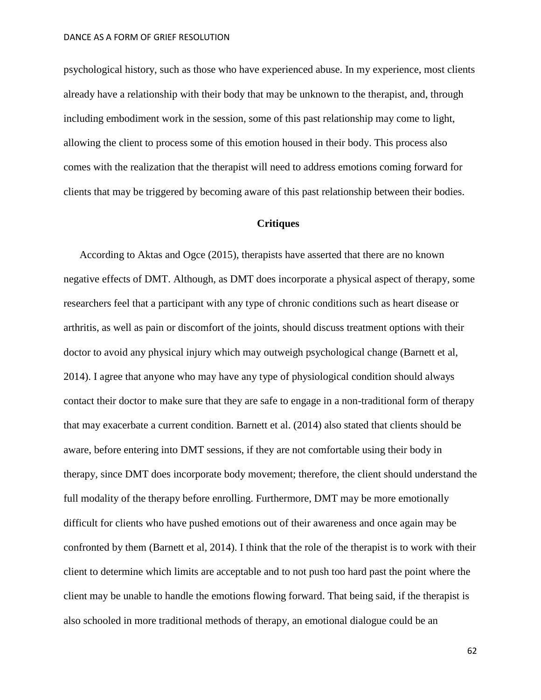psychological history, such as those who have experienced abuse. In my experience, most clients already have a relationship with their body that may be unknown to the therapist, and, through including embodiment work in the session, some of this past relationship may come to light, allowing the client to process some of this emotion housed in their body. This process also comes with the realization that the therapist will need to address emotions coming forward for clients that may be triggered by becoming aware of this past relationship between their bodies.

# **Critiques**

According to Aktas and Ogce (2015), therapists have asserted that there are no known negative effects of DMT. Although, as DMT does incorporate a physical aspect of therapy, some researchers feel that a participant with any type of chronic conditions such as heart disease or arthritis, as well as pain or discomfort of the joints, should discuss treatment options with their doctor to avoid any physical injury which may outweigh psychological change (Barnett et al, 2014). I agree that anyone who may have any type of physiological condition should always contact their doctor to make sure that they are safe to engage in a non-traditional form of therapy that may exacerbate a current condition. Barnett et al. (2014) also stated that clients should be aware, before entering into DMT sessions, if they are not comfortable using their body in therapy, since DMT does incorporate body movement; therefore, the client should understand the full modality of the therapy before enrolling. Furthermore, DMT may be more emotionally difficult for clients who have pushed emotions out of their awareness and once again may be confronted by them (Barnett et al, 2014). I think that the role of the therapist is to work with their client to determine which limits are acceptable and to not push too hard past the point where the client may be unable to handle the emotions flowing forward. That being said, if the therapist is also schooled in more traditional methods of therapy, an emotional dialogue could be an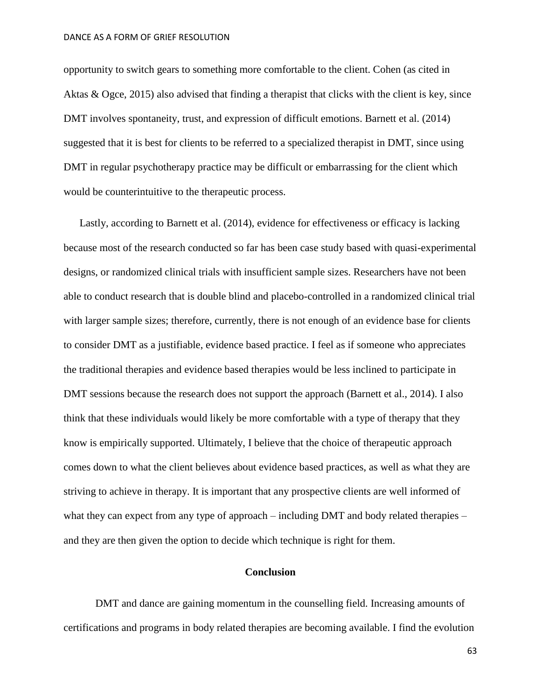opportunity to switch gears to something more comfortable to the client. Cohen (as cited in Aktas & Ogce, 2015) also advised that finding a therapist that clicks with the client is key, since DMT involves spontaneity, trust, and expression of difficult emotions. Barnett et al. (2014) suggested that it is best for clients to be referred to a specialized therapist in DMT, since using DMT in regular psychotherapy practice may be difficult or embarrassing for the client which would be counterintuitive to the therapeutic process.

Lastly, according to Barnett et al. (2014), evidence for effectiveness or efficacy is lacking because most of the research conducted so far has been case study based with quasi-experimental designs, or randomized clinical trials with insufficient sample sizes. Researchers have not been able to conduct research that is double blind and placebo-controlled in a randomized clinical trial with larger sample sizes; therefore, currently, there is not enough of an evidence base for clients to consider DMT as a justifiable, evidence based practice. I feel as if someone who appreciates the traditional therapies and evidence based therapies would be less inclined to participate in DMT sessions because the research does not support the approach (Barnett et al., 2014). I also think that these individuals would likely be more comfortable with a type of therapy that they know is empirically supported. Ultimately, I believe that the choice of therapeutic approach comes down to what the client believes about evidence based practices, as well as what they are striving to achieve in therapy. It is important that any prospective clients are well informed of what they can expect from any type of approach – including DMT and body related therapies – and they are then given the option to decide which technique is right for them.

## **Conclusion**

DMT and dance are gaining momentum in the counselling field. Increasing amounts of certifications and programs in body related therapies are becoming available. I find the evolution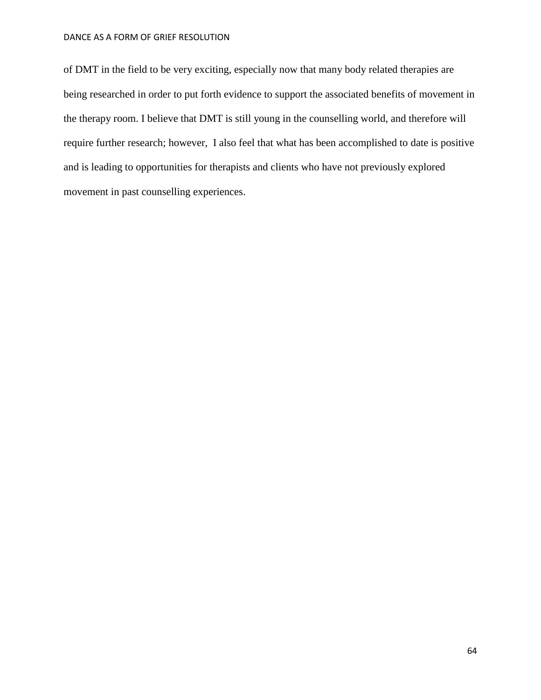of DMT in the field to be very exciting, especially now that many body related therapies are being researched in order to put forth evidence to support the associated benefits of movement in the therapy room. I believe that DMT is still young in the counselling world, and therefore will require further research; however, I also feel that what has been accomplished to date is positive and is leading to opportunities for therapists and clients who have not previously explored movement in past counselling experiences.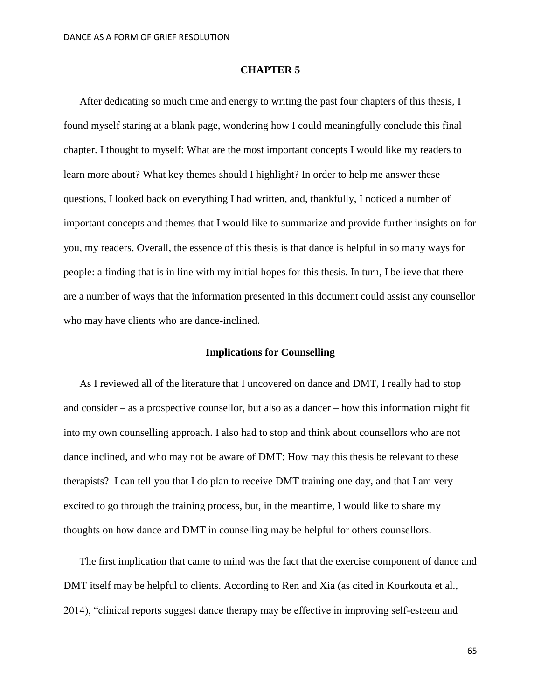## **CHAPTER 5**

After dedicating so much time and energy to writing the past four chapters of this thesis, I found myself staring at a blank page, wondering how I could meaningfully conclude this final chapter. I thought to myself: What are the most important concepts I would like my readers to learn more about? What key themes should I highlight? In order to help me answer these questions, I looked back on everything I had written, and, thankfully, I noticed a number of important concepts and themes that I would like to summarize and provide further insights on for you, my readers. Overall, the essence of this thesis is that dance is helpful in so many ways for people: a finding that is in line with my initial hopes for this thesis. In turn, I believe that there are a number of ways that the information presented in this document could assist any counsellor who may have clients who are dance-inclined.

## **Implications for Counselling**

As I reviewed all of the literature that I uncovered on dance and DMT, I really had to stop and consider – as a prospective counsellor, but also as a dancer – how this information might fit into my own counselling approach. I also had to stop and think about counsellors who are not dance inclined, and who may not be aware of DMT: How may this thesis be relevant to these therapists? I can tell you that I do plan to receive DMT training one day, and that I am very excited to go through the training process, but, in the meantime, I would like to share my thoughts on how dance and DMT in counselling may be helpful for others counsellors.

The first implication that came to mind was the fact that the exercise component of dance and DMT itself may be helpful to clients. According to Ren and Xia (as cited in Kourkouta et al., 2014), "clinical reports suggest dance therapy may be effective in improving self-esteem and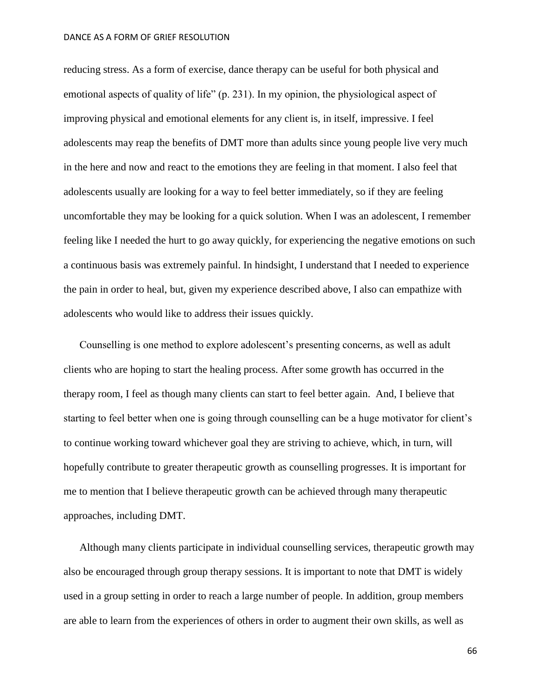reducing stress. As a form of exercise, dance therapy can be useful for both physical and emotional aspects of quality of life" (p. 231). In my opinion, the physiological aspect of improving physical and emotional elements for any client is, in itself, impressive. I feel adolescents may reap the benefits of DMT more than adults since young people live very much in the here and now and react to the emotions they are feeling in that moment. I also feel that adolescents usually are looking for a way to feel better immediately, so if they are feeling uncomfortable they may be looking for a quick solution. When I was an adolescent, I remember feeling like I needed the hurt to go away quickly, for experiencing the negative emotions on such a continuous basis was extremely painful. In hindsight, I understand that I needed to experience the pain in order to heal, but, given my experience described above, I also can empathize with adolescents who would like to address their issues quickly.

Counselling is one method to explore adolescent's presenting concerns, as well as adult clients who are hoping to start the healing process. After some growth has occurred in the therapy room, I feel as though many clients can start to feel better again. And, I believe that starting to feel better when one is going through counselling can be a huge motivator for client's to continue working toward whichever goal they are striving to achieve, which, in turn, will hopefully contribute to greater therapeutic growth as counselling progresses. It is important for me to mention that I believe therapeutic growth can be achieved through many therapeutic approaches, including DMT.

Although many clients participate in individual counselling services, therapeutic growth may also be encouraged through group therapy sessions. It is important to note that DMT is widely used in a group setting in order to reach a large number of people. In addition, group members are able to learn from the experiences of others in order to augment their own skills, as well as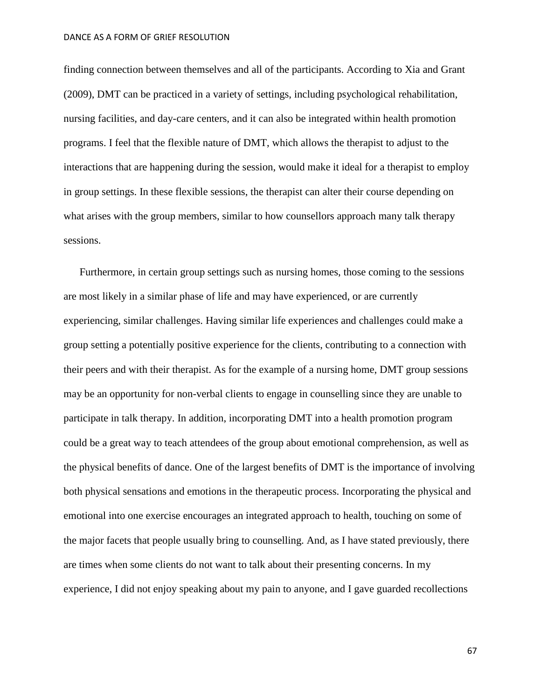finding connection between themselves and all of the participants. According to Xia and Grant (2009), DMT can be practiced in a variety of settings, including psychological rehabilitation, nursing facilities, and day-care centers, and it can also be integrated within health promotion programs. I feel that the flexible nature of DMT, which allows the therapist to adjust to the interactions that are happening during the session, would make it ideal for a therapist to employ in group settings. In these flexible sessions, the therapist can alter their course depending on what arises with the group members, similar to how counsellors approach many talk therapy sessions.

Furthermore, in certain group settings such as nursing homes, those coming to the sessions are most likely in a similar phase of life and may have experienced, or are currently experiencing, similar challenges. Having similar life experiences and challenges could make a group setting a potentially positive experience for the clients, contributing to a connection with their peers and with their therapist. As for the example of a nursing home, DMT group sessions may be an opportunity for non-verbal clients to engage in counselling since they are unable to participate in talk therapy. In addition, incorporating DMT into a health promotion program could be a great way to teach attendees of the group about emotional comprehension, as well as the physical benefits of dance. One of the largest benefits of DMT is the importance of involving both physical sensations and emotions in the therapeutic process. Incorporating the physical and emotional into one exercise encourages an integrated approach to health, touching on some of the major facets that people usually bring to counselling. And, as I have stated previously, there are times when some clients do not want to talk about their presenting concerns. In my experience, I did not enjoy speaking about my pain to anyone, and I gave guarded recollections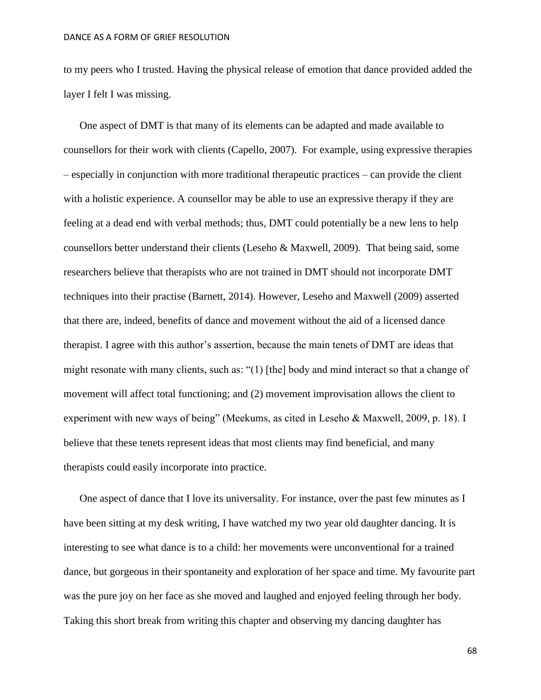to my peers who I trusted. Having the physical release of emotion that dance provided added the layer I felt I was missing.

One aspect of DMT is that many of its elements can be adapted and made available to counsellors for their work with clients (Capello, 2007). For example, using expressive therapies – especially in conjunction with more traditional therapeutic practices – can provide the client with a holistic experience. A counsellor may be able to use an expressive therapy if they are feeling at a dead end with verbal methods; thus, DMT could potentially be a new lens to help counsellors better understand their clients (Leseho & Maxwell, 2009). That being said, some researchers believe that therapists who are not trained in DMT should not incorporate DMT techniques into their practise (Barnett, 2014). However, Leseho and Maxwell (2009) asserted that there are, indeed, benefits of dance and movement without the aid of a licensed dance therapist. I agree with this author's assertion, because the main tenets of DMT are ideas that might resonate with many clients, such as: "(1) [the] body and mind interact so that a change of movement will affect total functioning; and (2) movement improvisation allows the client to experiment with new ways of being" (Meekums, as cited in Leseho & Maxwell, 2009, p. 18). I believe that these tenets represent ideas that most clients may find beneficial, and many therapists could easily incorporate into practice.

One aspect of dance that I love its universality. For instance, over the past few minutes as I have been sitting at my desk writing, I have watched my two year old daughter dancing. It is interesting to see what dance is to a child: her movements were unconventional for a trained dance, but gorgeous in their spontaneity and exploration of her space and time. My favourite part was the pure joy on her face as she moved and laughed and enjoyed feeling through her body. Taking this short break from writing this chapter and observing my dancing daughter has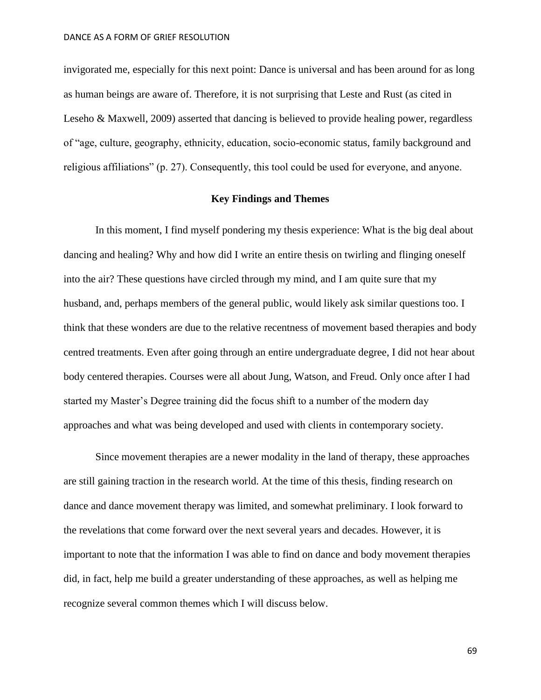invigorated me, especially for this next point: Dance is universal and has been around for as long as human beings are aware of. Therefore, it is not surprising that Leste and Rust (as cited in Leseho & Maxwell, 2009) asserted that dancing is believed to provide healing power, regardless of "age, culture, geography, ethnicity, education, socio-economic status, family background and religious affiliations" (p. 27). Consequently, this tool could be used for everyone, and anyone.

## **Key Findings and Themes**

In this moment, I find myself pondering my thesis experience: What is the big deal about dancing and healing? Why and how did I write an entire thesis on twirling and flinging oneself into the air? These questions have circled through my mind, and I am quite sure that my husband, and, perhaps members of the general public, would likely ask similar questions too. I think that these wonders are due to the relative recentness of movement based therapies and body centred treatments. Even after going through an entire undergraduate degree, I did not hear about body centered therapies. Courses were all about Jung, Watson, and Freud. Only once after I had started my Master's Degree training did the focus shift to a number of the modern day approaches and what was being developed and used with clients in contemporary society.

Since movement therapies are a newer modality in the land of therapy, these approaches are still gaining traction in the research world. At the time of this thesis, finding research on dance and dance movement therapy was limited, and somewhat preliminary. I look forward to the revelations that come forward over the next several years and decades. However, it is important to note that the information I was able to find on dance and body movement therapies did, in fact, help me build a greater understanding of these approaches, as well as helping me recognize several common themes which I will discuss below.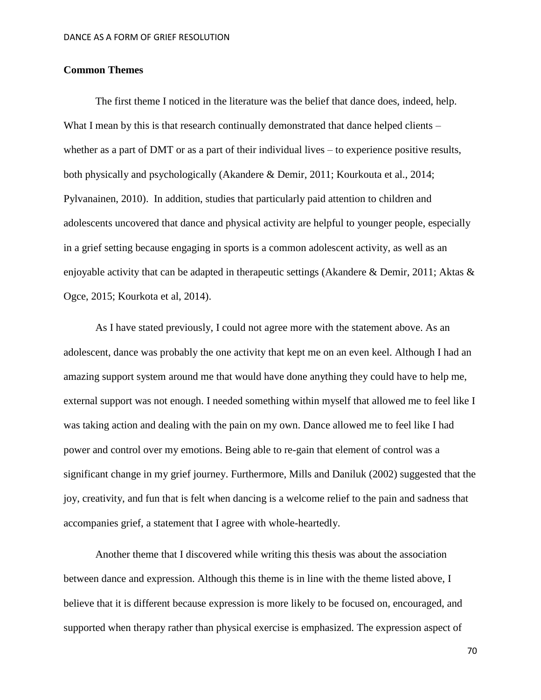## **Common Themes**

The first theme I noticed in the literature was the belief that dance does, indeed, help. What I mean by this is that research continually demonstrated that dance helped clients – whether as a part of DMT or as a part of their individual lives – to experience positive results, both physically and psychologically (Akandere & Demir, 2011; Kourkouta et al., 2014; Pylvanainen, 2010). In addition, studies that particularly paid attention to children and adolescents uncovered that dance and physical activity are helpful to younger people, especially in a grief setting because engaging in sports is a common adolescent activity, as well as an enjoyable activity that can be adapted in therapeutic settings (Akandere & Demir, 2011; Aktas & Ogce, 2015; Kourkota et al, 2014).

As I have stated previously, I could not agree more with the statement above. As an adolescent, dance was probably the one activity that kept me on an even keel. Although I had an amazing support system around me that would have done anything they could have to help me, external support was not enough. I needed something within myself that allowed me to feel like I was taking action and dealing with the pain on my own. Dance allowed me to feel like I had power and control over my emotions. Being able to re-gain that element of control was a significant change in my grief journey. Furthermore, Mills and Daniluk (2002) suggested that the joy, creativity, and fun that is felt when dancing is a welcome relief to the pain and sadness that accompanies grief, a statement that I agree with whole-heartedly.

Another theme that I discovered while writing this thesis was about the association between dance and expression. Although this theme is in line with the theme listed above, I believe that it is different because expression is more likely to be focused on, encouraged, and supported when therapy rather than physical exercise is emphasized. The expression aspect of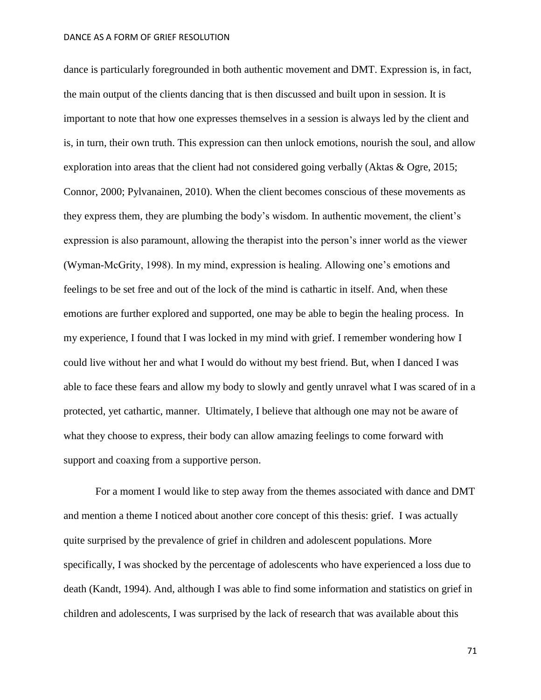dance is particularly foregrounded in both authentic movement and DMT. Expression is, in fact, the main output of the clients dancing that is then discussed and built upon in session. It is important to note that how one expresses themselves in a session is always led by the client and is, in turn, their own truth. This expression can then unlock emotions, nourish the soul, and allow exploration into areas that the client had not considered going verbally (Aktas & Ogre, 2015; Connor, 2000; Pylvanainen, 2010). When the client becomes conscious of these movements as they express them, they are plumbing the body's wisdom. In authentic movement, the client's expression is also paramount, allowing the therapist into the person's inner world as the viewer (Wyman-McGrity, 1998). In my mind, expression is healing. Allowing one's emotions and feelings to be set free and out of the lock of the mind is cathartic in itself. And, when these emotions are further explored and supported, one may be able to begin the healing process. In my experience, I found that I was locked in my mind with grief. I remember wondering how I could live without her and what I would do without my best friend. But, when I danced I was able to face these fears and allow my body to slowly and gently unravel what I was scared of in a protected, yet cathartic, manner. Ultimately, I believe that although one may not be aware of what they choose to express, their body can allow amazing feelings to come forward with support and coaxing from a supportive person.

For a moment I would like to step away from the themes associated with dance and DMT and mention a theme I noticed about another core concept of this thesis: grief. I was actually quite surprised by the prevalence of grief in children and adolescent populations. More specifically, I was shocked by the percentage of adolescents who have experienced a loss due to death (Kandt, 1994). And, although I was able to find some information and statistics on grief in children and adolescents, I was surprised by the lack of research that was available about this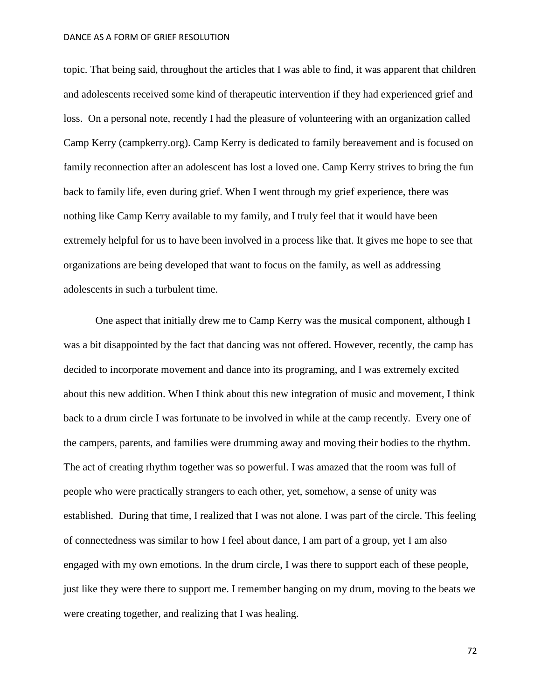topic. That being said, throughout the articles that I was able to find, it was apparent that children and adolescents received some kind of therapeutic intervention if they had experienced grief and loss. On a personal note, recently I had the pleasure of volunteering with an organization called Camp Kerry (campkerry.org). Camp Kerry is dedicated to family bereavement and is focused on family reconnection after an adolescent has lost a loved one. Camp Kerry strives to bring the fun back to family life, even during grief. When I went through my grief experience, there was nothing like Camp Kerry available to my family, and I truly feel that it would have been extremely helpful for us to have been involved in a process like that. It gives me hope to see that organizations are being developed that want to focus on the family, as well as addressing adolescents in such a turbulent time.

One aspect that initially drew me to Camp Kerry was the musical component, although I was a bit disappointed by the fact that dancing was not offered. However, recently, the camp has decided to incorporate movement and dance into its programing, and I was extremely excited about this new addition. When I think about this new integration of music and movement, I think back to a drum circle I was fortunate to be involved in while at the camp recently. Every one of the campers, parents, and families were drumming away and moving their bodies to the rhythm. The act of creating rhythm together was so powerful. I was amazed that the room was full of people who were practically strangers to each other, yet, somehow, a sense of unity was established. During that time, I realized that I was not alone. I was part of the circle. This feeling of connectedness was similar to how I feel about dance, I am part of a group, yet I am also engaged with my own emotions. In the drum circle, I was there to support each of these people, just like they were there to support me. I remember banging on my drum, moving to the beats we were creating together, and realizing that I was healing.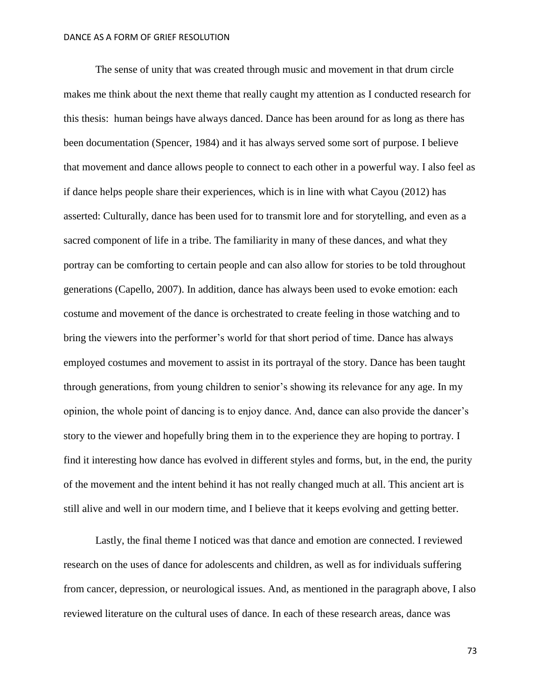The sense of unity that was created through music and movement in that drum circle makes me think about the next theme that really caught my attention as I conducted research for this thesis: human beings have always danced. Dance has been around for as long as there has been documentation (Spencer, 1984) and it has always served some sort of purpose. I believe that movement and dance allows people to connect to each other in a powerful way. I also feel as if dance helps people share their experiences, which is in line with what Cayou (2012) has asserted: Culturally, dance has been used for to transmit lore and for storytelling, and even as a sacred component of life in a tribe. The familiarity in many of these dances, and what they portray can be comforting to certain people and can also allow for stories to be told throughout generations (Capello, 2007). In addition, dance has always been used to evoke emotion: each costume and movement of the dance is orchestrated to create feeling in those watching and to bring the viewers into the performer's world for that short period of time. Dance has always employed costumes and movement to assist in its portrayal of the story. Dance has been taught through generations, from young children to senior's showing its relevance for any age. In my opinion, the whole point of dancing is to enjoy dance. And, dance can also provide the dancer's story to the viewer and hopefully bring them in to the experience they are hoping to portray. I find it interesting how dance has evolved in different styles and forms, but, in the end, the purity of the movement and the intent behind it has not really changed much at all. This ancient art is still alive and well in our modern time, and I believe that it keeps evolving and getting better.

Lastly, the final theme I noticed was that dance and emotion are connected. I reviewed research on the uses of dance for adolescents and children, as well as for individuals suffering from cancer, depression, or neurological issues. And, as mentioned in the paragraph above, I also reviewed literature on the cultural uses of dance. In each of these research areas, dance was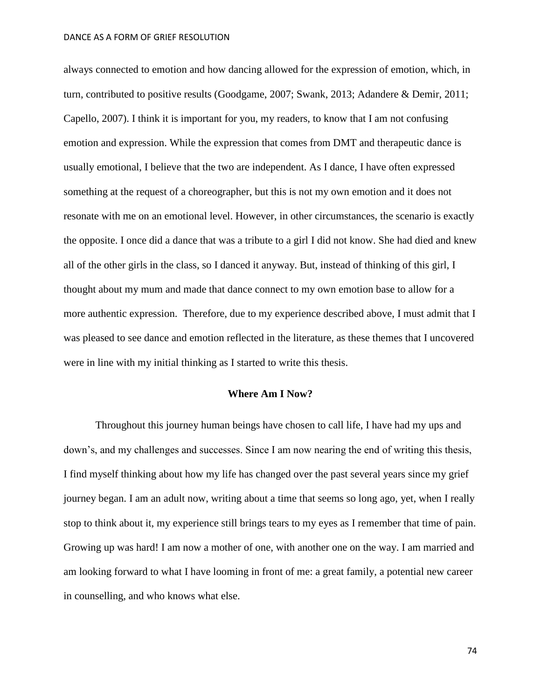always connected to emotion and how dancing allowed for the expression of emotion, which, in turn, contributed to positive results (Goodgame, 2007; Swank, 2013; Adandere & Demir, 2011; Capello, 2007). I think it is important for you, my readers, to know that I am not confusing emotion and expression. While the expression that comes from DMT and therapeutic dance is usually emotional, I believe that the two are independent. As I dance, I have often expressed something at the request of a choreographer, but this is not my own emotion and it does not resonate with me on an emotional level. However, in other circumstances, the scenario is exactly the opposite. I once did a dance that was a tribute to a girl I did not know. She had died and knew all of the other girls in the class, so I danced it anyway. But, instead of thinking of this girl, I thought about my mum and made that dance connect to my own emotion base to allow for a more authentic expression. Therefore, due to my experience described above, I must admit that I was pleased to see dance and emotion reflected in the literature, as these themes that I uncovered were in line with my initial thinking as I started to write this thesis.

# **Where Am I Now?**

Throughout this journey human beings have chosen to call life, I have had my ups and down's, and my challenges and successes. Since I am now nearing the end of writing this thesis, I find myself thinking about how my life has changed over the past several years since my grief journey began. I am an adult now, writing about a time that seems so long ago, yet, when I really stop to think about it, my experience still brings tears to my eyes as I remember that time of pain. Growing up was hard! I am now a mother of one, with another one on the way. I am married and am looking forward to what I have looming in front of me: a great family, a potential new career in counselling, and who knows what else.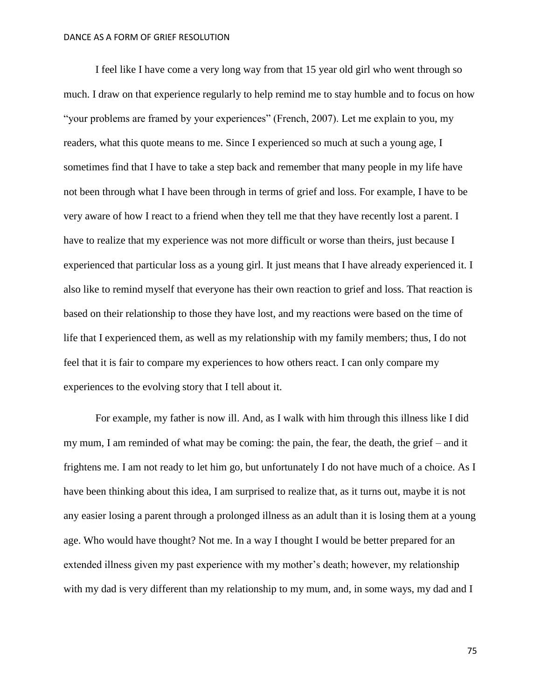I feel like I have come a very long way from that 15 year old girl who went through so much. I draw on that experience regularly to help remind me to stay humble and to focus on how "your problems are framed by your experiences" (French, 2007). Let me explain to you, my readers, what this quote means to me. Since I experienced so much at such a young age, I sometimes find that I have to take a step back and remember that many people in my life have not been through what I have been through in terms of grief and loss. For example, I have to be very aware of how I react to a friend when they tell me that they have recently lost a parent. I have to realize that my experience was not more difficult or worse than theirs, just because I experienced that particular loss as a young girl. It just means that I have already experienced it. I also like to remind myself that everyone has their own reaction to grief and loss. That reaction is based on their relationship to those they have lost, and my reactions were based on the time of life that I experienced them, as well as my relationship with my family members; thus, I do not feel that it is fair to compare my experiences to how others react. I can only compare my experiences to the evolving story that I tell about it.

For example, my father is now ill. And, as I walk with him through this illness like I did my mum, I am reminded of what may be coming: the pain, the fear, the death, the grief – and it frightens me. I am not ready to let him go, but unfortunately I do not have much of a choice. As I have been thinking about this idea, I am surprised to realize that, as it turns out, maybe it is not any easier losing a parent through a prolonged illness as an adult than it is losing them at a young age. Who would have thought? Not me. In a way I thought I would be better prepared for an extended illness given my past experience with my mother's death; however, my relationship with my dad is very different than my relationship to my mum, and, in some ways, my dad and I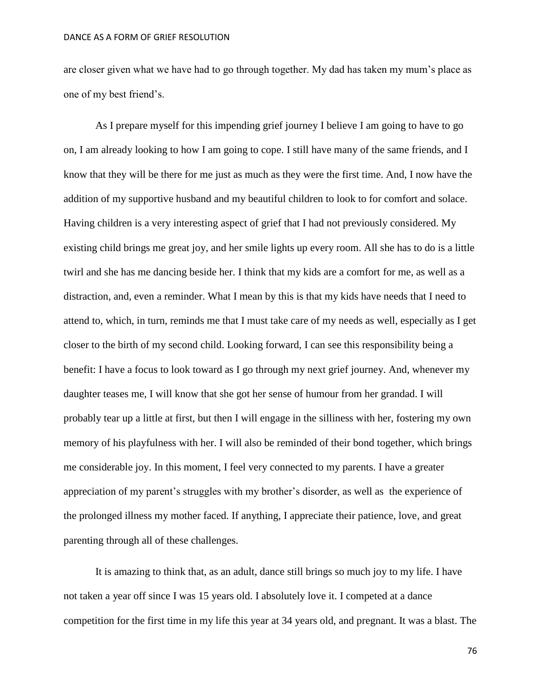are closer given what we have had to go through together. My dad has taken my mum's place as one of my best friend's.

As I prepare myself for this impending grief journey I believe I am going to have to go on, I am already looking to how I am going to cope. I still have many of the same friends, and I know that they will be there for me just as much as they were the first time. And, I now have the addition of my supportive husband and my beautiful children to look to for comfort and solace. Having children is a very interesting aspect of grief that I had not previously considered. My existing child brings me great joy, and her smile lights up every room. All she has to do is a little twirl and she has me dancing beside her. I think that my kids are a comfort for me, as well as a distraction, and, even a reminder. What I mean by this is that my kids have needs that I need to attend to, which, in turn, reminds me that I must take care of my needs as well, especially as I get closer to the birth of my second child. Looking forward, I can see this responsibility being a benefit: I have a focus to look toward as I go through my next grief journey. And, whenever my daughter teases me, I will know that she got her sense of humour from her grandad. I will probably tear up a little at first, but then I will engage in the silliness with her, fostering my own memory of his playfulness with her. I will also be reminded of their bond together, which brings me considerable joy. In this moment, I feel very connected to my parents. I have a greater appreciation of my parent's struggles with my brother's disorder, as well as the experience of the prolonged illness my mother faced. If anything, I appreciate their patience, love, and great parenting through all of these challenges.

It is amazing to think that, as an adult, dance still brings so much joy to my life. I have not taken a year off since I was 15 years old. I absolutely love it. I competed at a dance competition for the first time in my life this year at 34 years old, and pregnant. It was a blast. The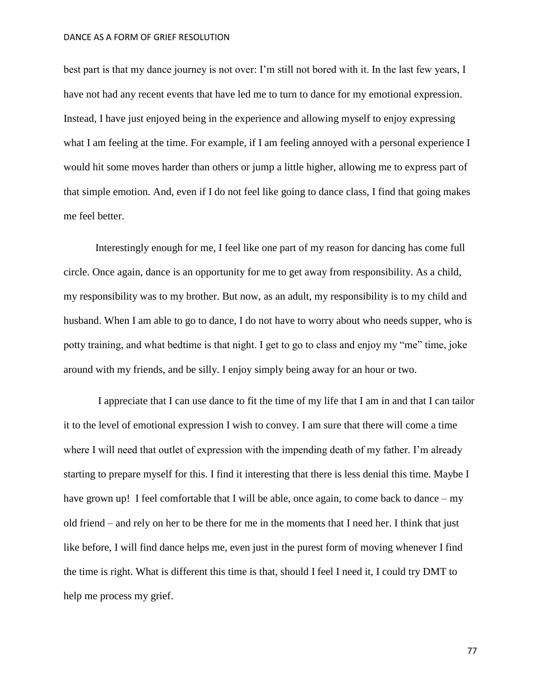best part is that my dance journey is not over: I'm still not bored with it. In the last few years, I have not had any recent events that have led me to turn to dance for my emotional expression. Instead, I have just enjoyed being in the experience and allowing myself to enjoy expressing what I am feeling at the time. For example, if I am feeling annoyed with a personal experience I would hit some moves harder than others or jump a little higher, allowing me to express part of that simple emotion. And, even if I do not feel like going to dance class, I find that going makes me feel better.

Interestingly enough for me, I feel like one part of my reason for dancing has come full circle. Once again, dance is an opportunity for me to get away from responsibility. As a child, my responsibility was to my brother. But now, as an adult, my responsibility is to my child and husband. When I am able to go to dance, I do not have to worry about who needs supper, who is potty training, and what bedtime is that night. I get to go to class and enjoy my "me" time, joke around with my friends, and be silly. I enjoy simply being away for an hour or two.

I appreciate that I can use dance to fit the time of my life that I am in and that I can tailor it to the level of emotional expression I wish to convey. I am sure that there will come a time where I will need that outlet of expression with the impending death of my father. I'm already starting to prepare myself for this. I find it interesting that there is less denial this time. Maybe I have grown up! I feel comfortable that I will be able, once again, to come back to dance – my old friend – and rely on her to be there for me in the moments that I need her. I think that just like before, I will find dance helps me, even just in the purest form of moving whenever I find the time is right. What is different this time is that, should I feel I need it, I could try DMT to help me process my grief.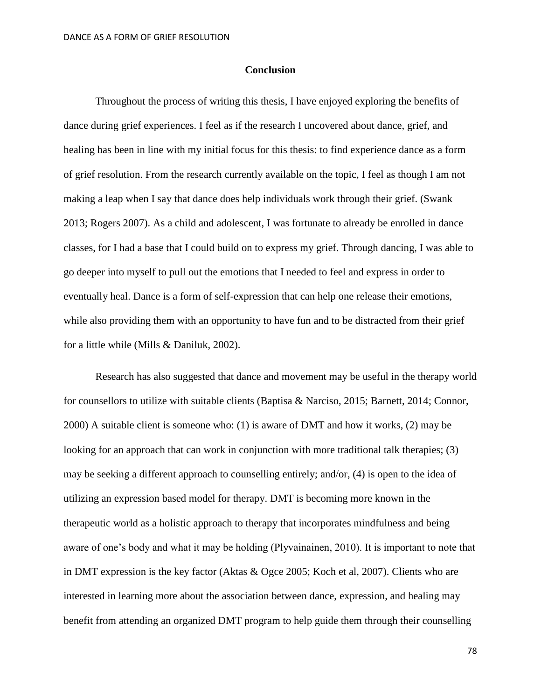# **Conclusion**

Throughout the process of writing this thesis, I have enjoyed exploring the benefits of dance during grief experiences. I feel as if the research I uncovered about dance, grief, and healing has been in line with my initial focus for this thesis: to find experience dance as a form of grief resolution. From the research currently available on the topic, I feel as though I am not making a leap when I say that dance does help individuals work through their grief. (Swank 2013; Rogers 2007). As a child and adolescent, I was fortunate to already be enrolled in dance classes, for I had a base that I could build on to express my grief. Through dancing, I was able to go deeper into myself to pull out the emotions that I needed to feel and express in order to eventually heal. Dance is a form of self-expression that can help one release their emotions, while also providing them with an opportunity to have fun and to be distracted from their grief for a little while (Mills & Daniluk, 2002).

Research has also suggested that dance and movement may be useful in the therapy world for counsellors to utilize with suitable clients (Baptisa & Narciso, 2015; Barnett, 2014; Connor, 2000) A suitable client is someone who: (1) is aware of DMT and how it works, (2) may be looking for an approach that can work in conjunction with more traditional talk therapies; (3) may be seeking a different approach to counselling entirely; and/or, (4) is open to the idea of utilizing an expression based model for therapy. DMT is becoming more known in the therapeutic world as a holistic approach to therapy that incorporates mindfulness and being aware of one's body and what it may be holding (Plyvainainen, 2010). It is important to note that in DMT expression is the key factor (Aktas & Ogce 2005; Koch et al, 2007). Clients who are interested in learning more about the association between dance, expression, and healing may benefit from attending an organized DMT program to help guide them through their counselling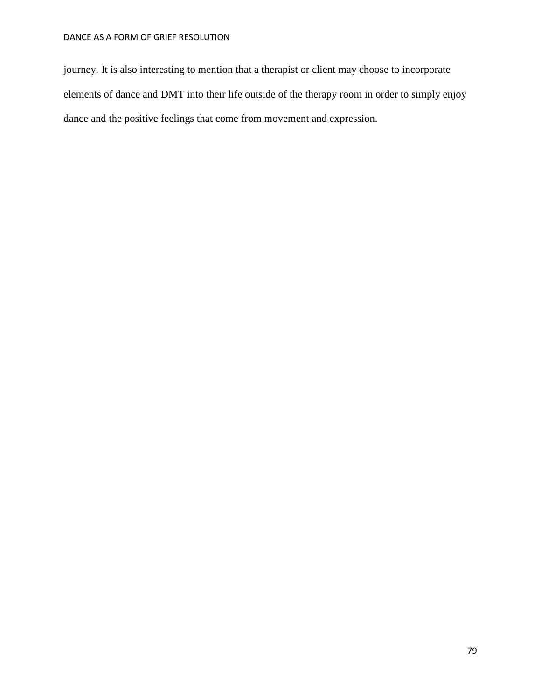journey. It is also interesting to mention that a therapist or client may choose to incorporate elements of dance and DMT into their life outside of the therapy room in order to simply enjoy dance and the positive feelings that come from movement and expression.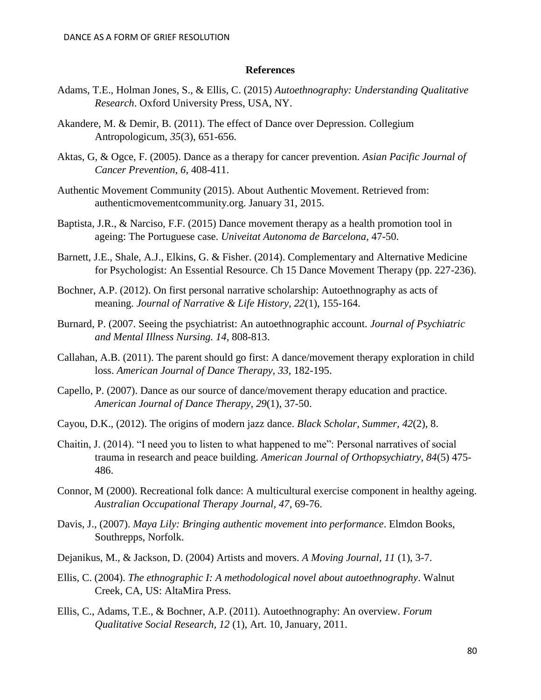### **References**

- Adams, T.E., Holman Jones, S., & Ellis, C. (2015) *Autoethnography: Understanding Qualitative Research*. Oxford University Press, USA, NY.
- Akandere, M. & Demir, B. (2011). The effect of Dance over Depression. Collegium Antropologicum, *35*(3), 651-656.
- Aktas, G, & Ogce, F. (2005). Dance as a therapy for cancer prevention. *Asian Pacific Journal of Cancer Prevention, 6*, 408-411.
- Authentic Movement Community (2015). About Authentic Movement. Retrieved from: authenticmovementcommunity.org. January 31, 2015.
- Baptista, J.R., & Narciso, F.F. (2015) Dance movement therapy as a health promotion tool in ageing: The Portuguese case. *Univeitat Autonoma de Barcelona*, 47-50.
- Barnett, J.E., Shale, A.J., Elkins, G. & Fisher. (2014). Complementary and Alternative Medicine for Psychologist: An Essential Resource. Ch 15 Dance Movement Therapy (pp. 227-236).
- Bochner, A.P. (2012). On first personal narrative scholarship: Autoethnography as acts of meaning. *Journal of Narrative & Life History, 22*(1), 155-164.
- Burnard, P. (2007. Seeing the psychiatrist: An autoethnographic account. *Journal of Psychiatric and Mental Illness Nursing. 14*, 808-813.
- Callahan, A.B. (2011). The parent should go first: A dance/movement therapy exploration in child loss. *American Journal of Dance Therapy, 33*, 182-195.
- Capello, P. (2007). Dance as our source of dance/movement therapy education and practice. *American Journal of Dance Therapy, 29*(1), 37-50.
- Cayou, D.K., (2012). The origins of modern jazz dance. *Black Scholar, Summer, 42*(2), 8.
- Chaitin, J. (2014). "I need you to listen to what happened to me": Personal narratives of social trauma in research and peace building. *American Journal of Orthopsychiatry, 84*(5) 475- 486.
- Connor, M (2000). Recreational folk dance: A multicultural exercise component in healthy ageing. *Australian Occupational Therapy Journal, 47*, 69-76.
- Davis, J., (2007). *Maya Lily: Bringing authentic movement into performance*. Elmdon Books, Southrepps, Norfolk.
- Dejanikus, M., & Jackson, D. (2004) Artists and movers. *A Moving Journal, 11* (1), 3-7.
- Ellis, C. (2004). *The ethnographic I: A methodological novel about autoethnography*. Walnut Creek, CA, US: AltaMira Press.
- Ellis, C., Adams, T.E., & Bochner, A.P. (2011). Autoethnography: An overview. *Forum Qualitative Social Research, 12* (1), Art. 10, January, 2011.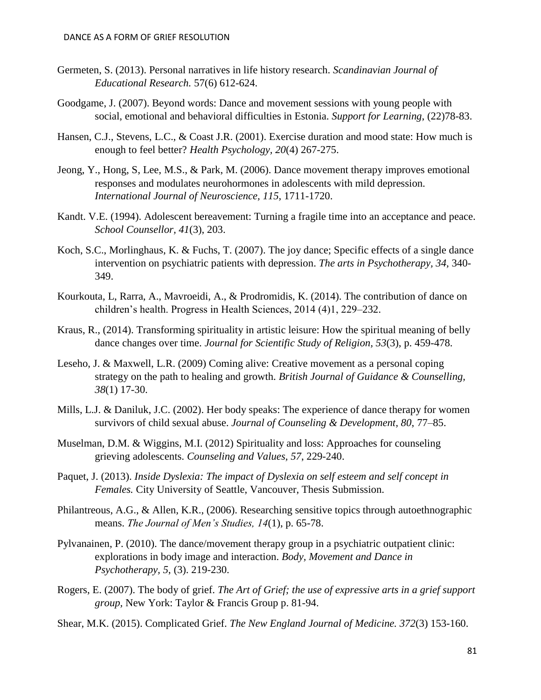- Germeten, S. (2013). Personal narratives in life history research. *Scandinavian Journal of Educational Research.* 57(6) 612-624.
- Goodgame, J. (2007). Beyond words: Dance and movement sessions with young people with social, emotional and behavioral difficulties in Estonia. *Support for Learning*, (22)78-83.
- Hansen, C.J., Stevens, L.C., & Coast J.R. (2001). Exercise duration and mood state: How much is enough to feel better? *Health Psychology, 20*(4) 267-275.
- Jeong, Y., Hong, S, Lee, M.S., & Park, M. (2006). Dance movement therapy improves emotional responses and modulates neurohormones in adolescents with mild depression. *International Journal of Neuroscience, 115,* 1711-1720.
- Kandt. V.E. (1994). Adolescent bereavement: Turning a fragile time into an acceptance and peace. *School Counsellor, 41*(3), 203.
- Koch, S.C., Morlinghaus, K. & Fuchs, T. (2007). The joy dance; Specific effects of a single dance intervention on psychiatric patients with depression. *The arts in Psychotherapy, 34,* 340- 349.
- Kourkouta, L, Rarra, A., Mavroeidi, A., & Prodromidis, K. (2014). The contribution of dance on children's health. Progress in Health Sciences, 2014 (4)1, 229–232.
- Kraus, R., (2014). Transforming spirituality in artistic leisure: How the spiritual meaning of belly dance changes over time. *Journal for Scientific Study of Religion, 53*(3), p. 459-478.
- Leseho, J. & Maxwell, L.R. (2009) Coming alive: Creative movement as a personal coping strategy on the path to healing and growth. *British Journal of Guidance & Counselling, 38*(1) 17-30.
- Mills, L.J. & Daniluk, J.C. (2002). Her body speaks: The experience of dance therapy for women survivors of child sexual abuse. *Journal of Counseling & Development, 80*, 77–85.
- Muselman, D.M. & Wiggins, M.I. (2012) Spirituality and loss: Approaches for counseling grieving adolescents. *Counseling and Values, 57*, 229-240.
- Paquet, J. (2013). *Inside Dyslexia: The impact of Dyslexia on self esteem and self concept in Females.* City University of Seattle, Vancouver, Thesis Submission.
- Philantreous, A.G., & Allen, K.R., (2006). Researching sensitive topics through autoethnographic means. *The Journal of Men's Studies, 14*(1), p. 65-78.
- Pylvanainen, P. (2010). The dance/movement therapy group in a psychiatric outpatient clinic: explorations in body image and interaction. *Body, Movement and Dance in Psychotherapy, 5*, (3). 219-230.
- Rogers, E. (2007). The body of grief. *The Art of Grief; the use of expressive arts in a grief support group,* New York: Taylor & Francis Group p. 81-94.
- Shear, M.K. (2015). Complicated Grief. *The New England Journal of Medicine. 372*(3) 153-160.